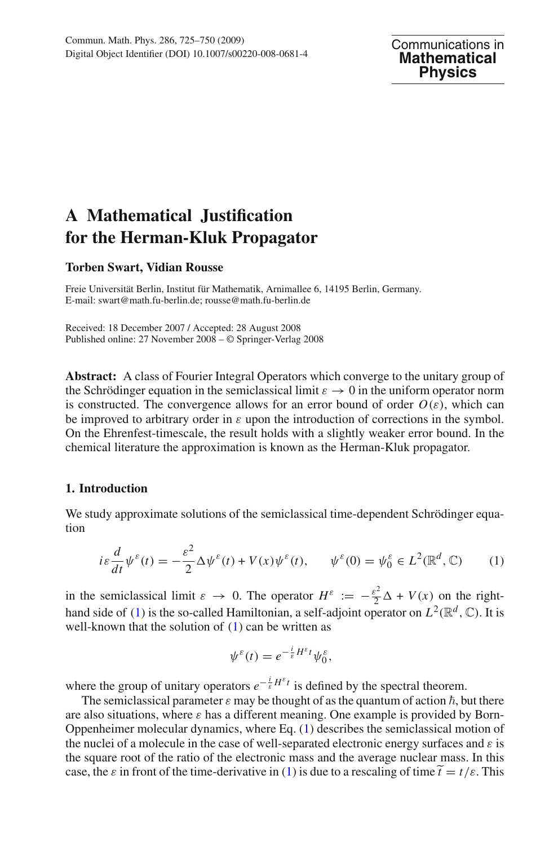# **A Mathematical Justification for the Herman-Kluk Propagator**

### **Torben Swart, Vidian Rousse**

Freie Universität Berlin, Institut für Mathematik, Arnimallee 6, 14195 Berlin, Germany. E-mail: swart@math.fu-berlin.de; rousse@math.fu-berlin.de

Received: 18 December 2007 / Accepted: 28 August 2008 Published online: 27 November 2008 – © Springer-Verlag 2008

**Abstract:** A class of Fourier Integral Operators which converge to the unitary group of the Schrödinger equation in the semiclassical limit  $\varepsilon \to 0$  in the uniform operator norm is constructed. The convergence allows for an error bound of order  $O(\varepsilon)$ , which can be improved to arbitrary order in  $\varepsilon$  upon the introduction of corrections in the symbol. On the Ehrenfest-timescale, the result holds with a slightly weaker error bound. In the chemical literature the approximation is known as the Herman-Kluk propagator.

### **1. Introduction**

We study approximate solutions of the semiclassical time-dependent Schrödinger equation

$$
i\varepsilon \frac{d}{dt} \psi^{\varepsilon}(t) = -\frac{\varepsilon^{2}}{2} \Delta \psi^{\varepsilon}(t) + V(x)\psi^{\varepsilon}(t), \qquad \psi^{\varepsilon}(0) = \psi^{\varepsilon}_{0} \in L^{2}(\mathbb{R}^{d}, \mathbb{C}) \tag{1}
$$

<span id="page-0-0"></span>in the semiclassical limit  $\varepsilon \to 0$ . The operator  $H^{\varepsilon} := -\frac{\varepsilon^2}{2}\Delta + V(x)$  on the right-hand side of [\(1\)](#page-0-0) is the so-called Hamiltonian, a self-adjoint operator on  $L^2(\mathbb{R}^d, \mathbb{C})$ . It is well-known that the solution of  $(1)$  can be written as

$$
\psi^{\varepsilon}(t) = e^{-\frac{i}{\varepsilon}H^{\varepsilon}t}\psi_0^{\varepsilon},
$$

where the group of unitary operators  $e^{-\frac{i}{\varepsilon}H^{\varepsilon}t}$  is defined by the spectral theorem.

The semiclassical parameter  $\varepsilon$  may be thought of as the quantum of action  $\hbar$ , but there are also situations, where  $\varepsilon$  has a different meaning. One example is provided by Born-Oppenheimer molecular dynamics, where Eq. [\(1\)](#page-0-0) describes the semiclassical motion of the nuclei of a molecule in the case of well-separated electronic energy surfaces and  $\varepsilon$  is the square root of the ratio of the electronic mass and the average nuclear mass. In this The seniclassical parameter  $\varepsilon$  has of thought of as the quantum of action *h*, out there are also situations, where  $\varepsilon$  has a different meaning. One example is provided by Born-Oppenheimer molecular dynamics, where E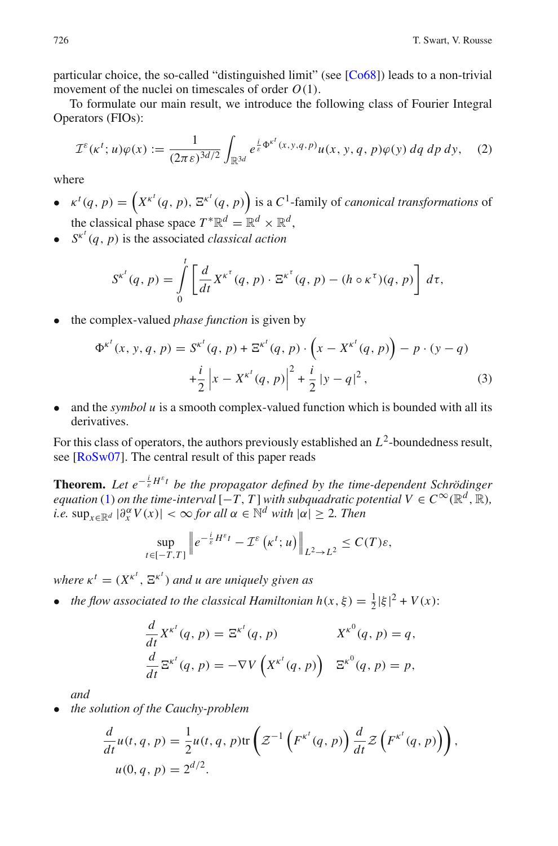particular choice, the so-called "distinguished limit" (see [\[Co68\]](#page-24-0)) leads to a non-trivial movement of the nuclei on timescales of order *O*(1).

To formulate our main result, we introduce the following class of Fourier Integral Operators (FIOs):

$$
\mathcal{I}^{\varepsilon}(\kappa^t; u)\varphi(x) := \frac{1}{(2\pi\varepsilon)^{3d/2}} \int_{\mathbb{R}^{3d}} e^{\frac{i}{\varepsilon}\Phi^{\kappa^t}(x, y, q, p)} u(x, y, q, p)\varphi(y) \,dq \,dp \,dy,\tag{2}
$$

<span id="page-1-1"></span>where

- $\kappa^t(q, p) = \left( X^{\kappa^t}(q, p), \, \Xi^{\kappa^t}(q, p) \right)$  is a C<sup>1</sup>-family of *canonical transformations* of the classical phase space  $T^* \mathbb{R}^d = \mathbb{R}^d \times \mathbb{R}^d$ .
- $S^{k^t}(q, p)$  is the associated *classical action*

$$
S^{\kappa^t}(q, p) = \int_0^t \left[ \frac{d}{dt} X^{\kappa^{\tau}}(q, p) \cdot \Xi^{\kappa^{\tau}}(q, p) - (h \circ \kappa^{\tau})(q, p) \right] d\tau,
$$

<span id="page-1-0"></span>• the complex-valued *phase function* is given by *unction* is given

$$
\Phi^{\kappa^{t}}(x, y, q, p) = S^{\kappa^{t}}(q, p) + \Xi^{\kappa^{t}}(q, p) \cdot \left(x - X^{\kappa^{t}}(q, p)\right) - p \cdot (y - q)
$$

$$
+ \frac{i}{2} \left|x - X^{\kappa^{t}}(q, p)\right|^{2} + \frac{i}{2} \left|y - q\right|^{2}, \tag{3}
$$

• and the *symbol u* is a smooth complex-valued function which is bounded with all its derivatives.

For this class of operators, the authors previously established an *L*2-boundedness result, see [\[RoSw07](#page-25-0)]. The central result of this paper reads

**Theorem.** Let  $e^{-\frac{i}{\varepsilon}H^{\varepsilon}t}$  be the propagator defined by the time-dependent Schrödinger *equation* [\(1\)](#page-0-0) *on the time-interval*  $[-T, T]$  *with subquadratic potential*  $V \in C^{\infty}(\mathbb{R}^d, \mathbb{R})$ *, i.e.*  $\sup_{x \in \mathbb{R}^d} |\partial_x^{\alpha} V(x)| < \infty$  *for all*  $\alpha \in \mathbb{N}^d$  *with*  $|\alpha| \geq 2$ *. Then Propagator defined*<br>  $all [-T, T]$  with sub<br>  $ial \alpha \in \mathbb{N}^d$  with  $|c$ <br>  $\frac{i}{\varepsilon} H^{\varepsilon}t - \mathcal{I}^{\varepsilon} (\kappa^t; u)$ 

$$
\sup_{t\in[-T,T]}\left\|e^{-\frac{i}{\varepsilon}H^{\varepsilon}t}-\mathcal{I}^{\varepsilon}\left(\kappa^{t};u\right)\right\|_{L^{2}\to L^{2}}\leq C(T)\varepsilon,
$$

*where*  $\kappa^t = (X^{\kappa^t}, \Xi^{\kappa^t})$  *and u are uniquely given as* 

• *the flow associated to the classical Hamiltonian*  $h(x, \xi) = \frac{1}{2} |\xi|^2 + V(x)$ *:* 

$$
\frac{d}{dt}X^{k'}(q, p) = \Xi^{k'}(q, p) \qquad X^{k^0}(q, p) = q,
$$
\n
$$
\frac{d}{dt}\Xi^{k'}(q, p) = -\nabla V\left(X^{k'}(q, p)\right) \quad \Xi^{k^0}(q, p) = p,
$$
\nthe Cauchy-problem

\n
$$
f(p, p) = \frac{1}{2}u(t, q, p)
$$
\ntr
$$
\left(\mathcal{Z}^{-1}\left(F^{k'}(q, p)\right)\right) \frac{d}{dt}\mathcal{Z}\left(F^{k'}(q, p)\right)
$$

*and*

• *the solution of the Cauchy-problem*

$$
\frac{d}{dt}u(t,q,p) = \frac{1}{2}u(t,q,p)\text{tr}\left(\mathcal{Z}^{-1}\left(F^{\kappa^t}(q,p)\right)\frac{d}{dt}\mathcal{Z}\left(F^{\kappa^t}(q,p)\right)\right),
$$
  
 
$$
u(0,q,p) = 2^{d/2}.
$$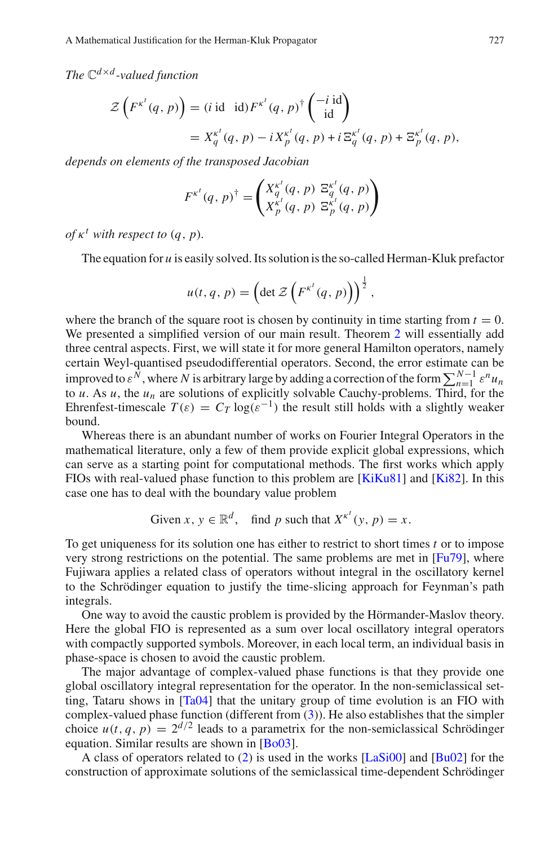*The* C*d*×*<sup>d</sup> -valued function*

natical Justinction for the Herman-Kluk Propagator

\n
$$
\times d
$$
\n-valued function

\n
$$
\mathcal{Z}\left(F^{\kappa^{t}}(q, p)\right) = (i \text{ id } id)F^{\kappa^{t}}(q, p)^{\dagger}\begin{pmatrix} -i \text{ id} \\ id \end{pmatrix}
$$
\n
$$
= X_{q}^{\kappa^{t}}(q, p) - i X_{p}^{\kappa^{t}}(q, p) + i \Xi_{q}^{\kappa^{t}}(q, p) + \Xi_{p}^{\kappa^{t}}(q, p),
$$

*depends on elements of the transposed Jacobian*

$$
F^{\kappa^{t}}(q, p)^{\dagger} = \begin{pmatrix} X_{q}^{\kappa^{t}}(q, p) & \Xi_{q}^{\kappa^{t}}(q, p) \\ X_{p}^{\kappa^{t}}(q, p) & \Xi_{p}^{\kappa^{t}}(q, p) \end{pmatrix}
$$

 $of \kappa^t$  *with respect to*  $(q, p)$ *.* 

The equation for *u* is easily solved. Its solution is the so-called Herman-Kluk prefactor

$$
u(t, q, p) = \left(\det \mathcal{Z}\left(F^{\kappa^t}(q, p)\right)\right)^{\frac{1}{2}},
$$

where the branch of the square root is chosen by continuity in time starting from  $t = 0$ . We presented a simplified version of our main result. Theorem [2](#page-12-0) will essentially add three central aspects. First, we will state it for more general Hamilton operators, namely certain Weyl-quantised pseudodifferential operators. Second, the error estimate can be improved to  $\varepsilon^{N}$ , where *N* is arbitrary large by adding a correction of the form  $\sum_{n=1}^{N-1} \varepsilon^{n} u_n$ to *u*. As *u*, the  $u_n$  are solutions of explicitly solvable Cauchy-problems. Third, for the Ehrenfest-timescale  $T(\varepsilon) = C_T \log(\varepsilon^{-1})$  the result still holds with a slightly weaker bound.

Whereas there is an abundant number of works on Fourier Integral Operators in the mathematical literature, only a few of them provide explicit global expressions, which can serve as a starting point for computational methods. The first works which apply FIOs with real-valued phase function to this problem are [\[KiKu81\]](#page-25-1) and [\[Ki82](#page-25-2)]. In this case one has to deal with the boundary value problem

Given 
$$
x, y \in \mathbb{R}^d
$$
, find p such that  $X^{\kappa^t}(y, p) = x$ .

To get uniqueness for its solution one has either to restrict to short times *t* or to impose very strong restrictions on the potential. The same problems are met in [\[Fu79](#page-24-1)], where Fujiwara applies a related class of operators without integral in the oscillatory kernel to the Schrödinger equation to justify the time-slicing approach for Feynman's path integrals.

One way to avoid the caustic problem is provided by the Hörmander-Maslov theory. Here the global FIO is represented as a sum over local oscillatory integral operators with compactly supported symbols. Moreover, in each local term, an individual basis in phase-space is chosen to avoid the caustic problem.

The major advantage of complex-valued phase functions is that they provide one global oscillatory integral representation for the operator. In the non-semiclassical setting, Tataru shows in [\[Ta04](#page-25-3)] that the unitary group of time evolution is an FIO with complex-valued phase function (different from  $(3)$ ). He also establishes that the simpler choice  $u(t, q, p) = 2^{d/2}$  leads to a parametrix for the non-semiclassical Schrödinger equation. Similar results are shown in [\[Bo03](#page-24-2)].

A class of operators related to [\(2\)](#page-1-1) is used in the works [\[LaSi00\]](#page-25-4) and [\[Bu02\]](#page-24-3) for the construction of approximate solutions of the semiclassical time-dependent Schrödinger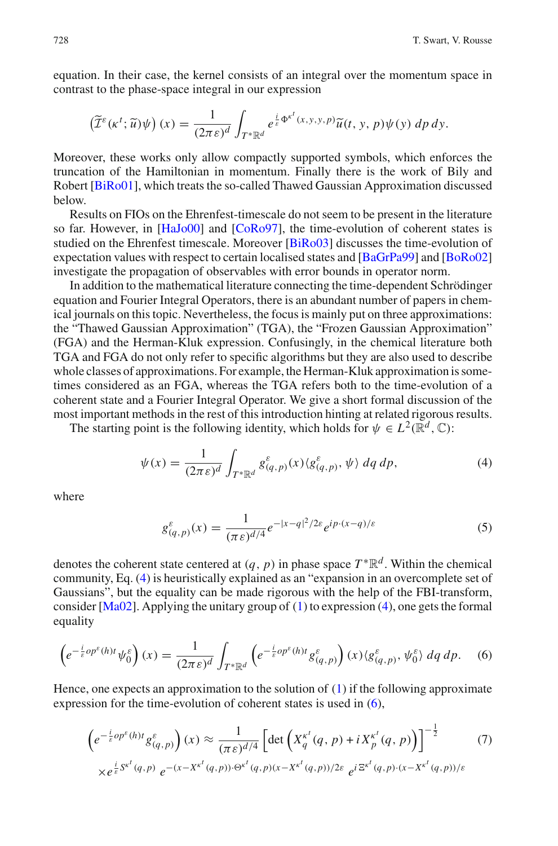equation. In their case, the kernel consists of an integral over the momentum space in contrast to the phase-space integral in our expression **heir ca**<br>*phase*<br>**;**  $\tilde{u}$ )ψ)

$$
\left(\widetilde{\mathcal{I}}^{\varepsilon}(\kappa^t;\widetilde{u})\psi\right)(x)=\frac{1}{(2\pi\varepsilon)^d}\int_{T^*\mathbb{R}^d}e^{\frac{i}{\varepsilon}\Phi^{\kappa^t}(x,y,y,p)}\widetilde{u}(t,y,p)\psi(y)\,dp\,dy.
$$

Moreover, these works only allow compactly supported symbols, which enforces the truncation of the Hamiltonian in momentum. Finally there is the work of Bily and Robert [\[BiRo01](#page-24-4)], which treats the so-called Thawed Gaussian Approximation discussed below.

Results on FIOs on the Ehrenfest-timescale do not seem to be present in the literature so far. However, in [\[HaJo00\]](#page-25-5) and [\[CoRo97\]](#page-24-5), the time-evolution of coherent states is studied on the Ehrenfest timescale. Moreover [\[BiRo03](#page-24-6)] discusses the time-evolution of expectation values with respect to certain localised states and [\[BaGrPa99\]](#page-24-7) and [\[BoRo02\]](#page-24-8) investigate the propagation of observables with error bounds in operator norm.

In addition to the mathematical literature connecting the time-dependent Schrödinger equation and Fourier Integral Operators, there is an abundant number of papers in chemical journals on this topic. Nevertheless, the focus is mainly put on three approximations: the "Thawed Gaussian Approximation" (TGA), the "Frozen Gaussian Approximation" (FGA) and the Herman-Kluk expression. Confusingly, in the chemical literature both TGA and FGA do not only refer to specific algorithms but they are also used to describe whole classes of approximations. For example, the Herman-Kluk approximation is sometimes considered as an FGA, whereas the TGA refers both to the time-evolution of a coherent state and a Fourier Integral Operator. We give a short formal discussion of the most important methods in the rest of this introduction hinting at related rigorous results.

The starting point is the following identity, which holds for  $\psi \in L^2(\mathbb{R}^d, \mathbb{C})$ :

$$
\psi(x) = \frac{1}{(2\pi\epsilon)^d} \int_{T^*\mathbb{R}^d} g_{(q,p)}^{\varepsilon}(x) \langle g_{(q,p)}^{\varepsilon}, \psi \rangle \, dq \, dp,\tag{4}
$$

<span id="page-3-0"></span>where

$$
g_{(q,p)}^{\varepsilon}(x) = \frac{1}{(\pi \varepsilon)^{d/4}} e^{-|x-q|^2/2\varepsilon} e^{ip \cdot (x-q)/\varepsilon}
$$
(5)

denotes the coherent state centered at  $(q, p)$  in phase space  $T^*\mathbb{R}^d$ . Within the chemical community, Eq. [\(4\)](#page-3-0) is heuristically explained as an "expansion in an overcomplete set of Gaussians", but the equality can be made rigorous with the help of the FBI-transform, consider  $[Ma02]$  $[Ma02]$ . Applying the unitary group of [\(1\)](#page-0-0) to expression [\(4\)](#page-3-0), one gets the formal equality

$$
\left(e^{-\frac{i}{\varepsilon}\rho\rho^{\varepsilon}(h)t}\psi_0^{\varepsilon}\right)(x) = \frac{1}{(2\pi\varepsilon)^d} \int_{T^*\mathbb{R}^d} \left(e^{-\frac{i}{\varepsilon}\rho\rho^{\varepsilon}(h)t}g^{\varepsilon}_{(q,p)}\right)(x)\langle g^{\varepsilon}_{(q,p)},\psi_0^{\varepsilon}\rangle \,dq \,dp. \tag{6}
$$

<span id="page-3-1"></span>Hence, one expects an approximation to the solution of [\(1\)](#page-0-0) if the following approximate expression for the time-evolution of coherent states is used in  $(6)$ , e<br>e solu<br>det (

<span id="page-3-2"></span>
$$
\left(e^{-\frac{i}{\varepsilon}op^{\varepsilon}(h)t}g^{\varepsilon}_{(q,p)}\right)(x) \approx \frac{1}{(\pi\varepsilon)^{d/4}} \left[\det\left(X_{q}^{\kappa^{t}}(q,p)+iX_{p}^{\kappa^{t}}(q,p)\right)\right]^{-\frac{1}{2}} \qquad (7)
$$
  
 
$$
\times e^{\frac{i}{\varepsilon}S^{\kappa^{t}}(q,p)} e^{-(x-X^{\kappa^{t}}(q,p))\cdot\Theta^{\kappa^{t}}(q,p)(x-X^{\kappa^{t}}(q,p))/2\varepsilon} e^{i\Xi^{\kappa^{t}}(q,p)\cdot(x-X^{\kappa^{t}}(q,p))/\varepsilon}
$$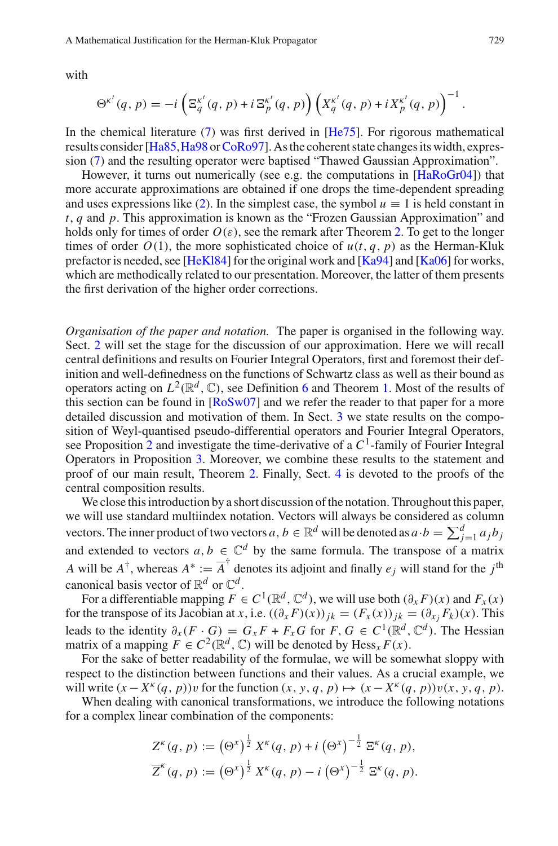with

$$
\Theta^{\kappa^t}(q, p) = -i \left( \Xi_q^{\kappa^t}(q, p) + i \Xi_p^{\kappa^t}(q, p) \right) \left( X_q^{\kappa^t}(q, p) + i X_p^{\kappa^t}(q, p) \right)^{-1}.
$$

In the chemical literature [\(7\)](#page-3-2) was first derived in [\[He75](#page-25-7)]. For rigorous mathematical results consider [\[Ha85](#page-24-9), Ha98 or [CoRo97](#page-24-5)]. As the coherent state changes its width, expression [\(7\)](#page-3-2) and the resulting operator were baptised "Thawed Gaussian Approximation".

However, it turns out numerically (see e.g. the computations in [\[HaRoGr04](#page-25-8)]) that more accurate approximations are obtained if one drops the time-dependent spreading and uses expressions like [\(2\)](#page-1-1). In the simplest case, the symbol  $u \equiv 1$  is held constant in *t*, *q* and *p*. This approximation is known as the "Frozen Gaussian Approximation" and holds only for times of order  $O(\varepsilon)$ , see the remark after Theorem [2.](#page-12-0) To get to the longer times of order  $O(1)$ , the more sophisticated choice of  $u(t, q, p)$  as the Herman-Kluk prefactor is needed, see [\[HeKl84\]](#page-25-9) for the original work and  $[Ka94]$  $[Ka94]$  and  $[Ka06]$  $[Ka06]$  for works, which are methodically related to our presentation. Moreover, the latter of them presents the first derivation of the higher order corrections.

*Organisation of the paper and notation.* The paper is organised in the following way. Sect. [2](#page-5-0) will set the stage for the discussion of our approximation. Here we will recall central definitions and results on Fourier Integral Operators, first and foremost their definition and well-definedness on the functions of Schwartz class as well as their bound as operators acting on  $L^2(\mathbb{R}^d, \mathbb{C})$ , see Definition [6](#page-8-0) and Theorem [1.](#page-9-0) Most of the results of this section can be found in [\[RoSw07\]](#page-25-0) and we refer the reader to that paper for a more detailed discussion and motivation of them. In Sect. [3](#page-9-1) we state results on the composition of Weyl-quantised pseudo-differential operators and Fourier Integral Operators, see Proposition [2](#page-10-0) and investigate the time-derivative of a  $C<sup>1</sup>$ -family of Fourier Integral Operators in Proposition [3.](#page-11-0) Moreover, we combine these results to the statement and proof of our main result, Theorem [2.](#page-12-0) Finally, Sect. [4](#page-16-0) is devoted to the proofs of the central composition results.

We close this introduction by a short discussion of the notation. Throughout this paper, we will use standard multiindex notation. Vectors will always be considered as column Operators in Proposition 3. Moreover, we combine these results to the statement and proof of our main result, Theorem 2. Finally, Sect. 4 is devoted to the proofs of the central composition results. We close this introduc and extended to vectors  $a, b \in \mathbb{C}^d$  by the same formula. The transpose of a matrix *A* will be  $A^{\dagger}$ , whereas  $A^* := \overline{A}^{\dagger}$  denotes its adjoint and finally *e j* will stand for the *j*<sup>th</sup> canonical basis vector of  $\mathbb{R}^d$  or  $\mathbb{C}^d$ .

For a differentiable mapping  $F \in C^1(\mathbb{R}^d, \mathbb{C}^d)$ , we will use both  $(\partial_x F)(x)$  and  $F_x(x)$ for the transpose of its Jacobian at *x*, i.e.  $((\partial_x F)(x))_{jk} = (F_x(x))_{jk} = (\partial_{x_j} F_k)(x)$ . This leads to the identity  $\partial_x (F \cdot G) = G_x F + F_x G$  for  $F, G \in C^1(\mathbb{R}^d, \mathbb{C}^d)$ . The Hessian matrix of a mapping  $F \in C^2(\mathbb{R}^d, \mathbb{C})$  will be denoted by  $\text{Hess}_x F(x)$ .

For the sake of better readability of the formulae, we will be somewhat sloppy with respect to the distinction between functions and their values. As a crucial example, we will write  $(x - X^k(q, p))v$  for the function  $(x, y, q, p) \mapsto (x - X^k(q, p))v(x, y, q, p)$ .<br>When dealing with canonical transformations, we introduce will write  $(x - X<sup>K</sup>(q, p))v$  for the function  $(x, y, q, p) \mapsto (x - X<sup>K</sup>(q, p))v(x, y, q, p)$ .

for a complex linear combination of the components:

When dealing with canonical transformations, we introduce the following notations  
a complex linear combination of the components:  

$$
Z^{k}(q, p) := (\Theta^{x})^{\frac{1}{2}} X^{k}(q, p) + i (\Theta^{x})^{-\frac{1}{2}} \Xi^{k}(q, p),
$$

$$
\overline{Z}^{k}(q, p) := (\Theta^{x})^{\frac{1}{2}} X^{k}(q, p) - i (\Theta^{x})^{-\frac{1}{2}} \Xi^{k}(q, p).
$$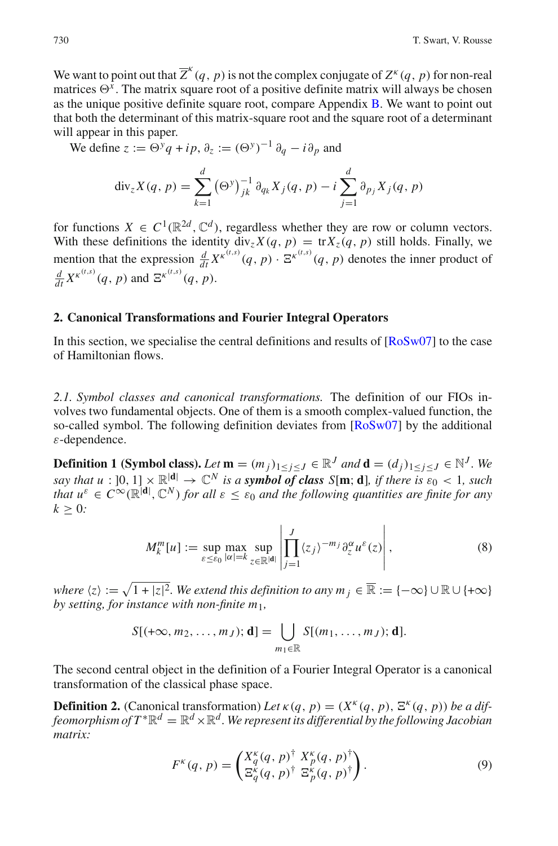We want to point out that  $\overline{Z}^k(q, p)$  is not the complex conjugate of  $Z^k(q, p)$  for non-real matrices  $\Theta^{\tilde{x}}$ . The matrix square root of a positive definite matrix will always be chosen as the unique positive definite square root, compare Appendix [B.](#page-24-11) We want to point out that both the determinant of this matrix-square root and the square root of a determinant and the square root of a determinant will appear in this paper. determinant of this matrix<br>in this paper.<br>e z :=  $\Theta^y q + i p$ ,  $\partial_z$  := (<br>div<sub>z</sub>X(q, p) =  $\sum^d (\Theta^y)$ 

We define  $z := \Theta^y q + i p$ ,  $\partial_z := (\Theta^y)^{-1} \partial_q - i \partial_p$  and

$$
\text{div}_{z} X(q, p) = \sum_{k=1}^{d} (\Theta^{y})_{jk}^{-1} \partial_{q_k} X_j(q, p) - i \sum_{j=1}^{d} \partial_{p_j} X_j(q, p)
$$

for functions  $X \in C^1(\mathbb{R}^{2d}, \mathbb{C}^d)$ , regardless whether they are row or column vectors. With these definitions the identity  $\text{div}_z X(q, p) = \text{tr} X_z(q, p)$  still holds. Finally, we mention that the expression  $\frac{d}{dt} X^{\kappa^{(t,s)}}(q, p) \cdot \mathbb{E}^{\kappa^{(t,s)}}(q, p)$  denotes the inner product of  $\frac{d}{dt} X^{\kappa^{(t,s)}}(q, p)$  and  $\Xi^{\kappa^{(t,s)}}(q, p)$ .

### <span id="page-5-0"></span>**2. Canonical Transformations and Fourier Integral Operators**

In this section, we specialise the central definitions and results of  $[RoSw07]$  $[RoSw07]$  to the case of Hamiltonian flows.

*2.1. Symbol classes and canonical transformations.* The definition of our FIOs involves two fundamental objects. One of them is a smooth complex-valued function, the so-called symbol. The following definition deviates from  $[RoSw07]$  $[RoSw07]$  by the additional ε-dependence.

**Definition 1 (Symbol class).** *Let*  $\mathbf{m} = (m_j)_{1 \leq j \leq J} \in \mathbb{R}^J$  *and*  $\mathbf{d} = (d_j)_{1 \leq j \leq J} \in \mathbb{N}^J$ *. We say that u* :  $[0, 1] \times \mathbb{R}^{|d|} \rightarrow \mathbb{C}^N$  *is a symbol of class S*[**m**; **d**]*, if there is*  $\varepsilon_0 < 1$ *, such that*  $u^{\varepsilon} \in C^{\infty}(\mathbb{R}^{|\mathbf{d}|}, \mathbb{C}^{N})$  *for all*  $\varepsilon \leq \varepsilon_0$  and the following quantities are finite for any  $k > 0$ :

$$
M_k^m[u] := \sup_{\varepsilon \le \varepsilon_0} \max_{|\alpha| = k} \sup_{z \in \mathbb{R}^{|d|}} \left| \prod_{j=1}^J \langle z_j \rangle^{-m_j} \partial_z^{\alpha} u^{\varepsilon}(z) \right|,
$$
\nwhere

\n
$$
\langle z \rangle := \sqrt{1 + |z|^2}.
$$
\nWe extend this definition to any

\n
$$
m_j \in \mathbb{R} := \{-\infty\} \cup \mathbb{R} \cup \{+\infty\}
$$

*by setting, for instance with non-finite m*1*, S*<sub>EED</sub>  $|\alpha| = k$ <sub>*z*∈ $\mathbb{R}^{|d|}$   $|\sum_{j=1}^{n}$ <br>  $\frac{1}{1+|z|^2}$ . We extend this definition<br> *S*[(+∞, *m*<sub>2</sub>, . . . , *m*<sub>J</sub>); **d**] =  $\left[\right]$ </sub>

$$
S[(+\infty,m_2,\ldots,m_J); \mathbf{d}] = \bigcup_{m_1 \in \mathbb{R}} S[(m_1,\ldots,m_J); \mathbf{d}].
$$

The second central object in the definition of a Fourier Integral Operator is a canonical transformation of the classical phase space.

**Definition 2.** (Canonical transformation) *Let*  $\kappa(q, p) = (X^{\kappa}(q, p), \Xi^{\kappa}(q, p))$  *be a diffeomorphism of*  $T^* \mathbb{R}^d = \mathbb{R}^d \times \mathbb{R}^d$ . We represent its differential by the following Jacobian *matrix:*

$$
F^{\kappa}(q, p) = \begin{pmatrix} X_q^{\kappa}(q, p)^{\dagger} & X_p^{\kappa}(q, p)^{\dagger} \\ \Xi_q^{\kappa}(q, p)^{\dagger} & \Xi_p^{\kappa}(q, p)^{\dagger} \end{pmatrix}.
$$
 (9)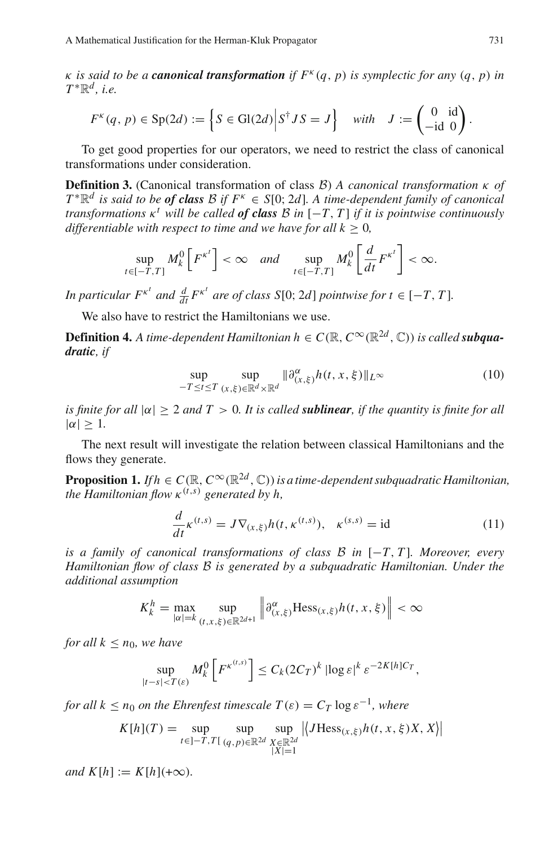κ *is said to be a canonical transformation if F*<sup>κ</sup> (*q*, *p*) *is symplectic for any* (*q*, *p*) *in*  $T^*\mathbb{R}^d$ , *i.e.* 

thematical Justinication for the Herman-Kluk Propagator

\nsaid to be a **canonical transformation** if 
$$
F^k(q, p)
$$
 is symplectic for any  $(q^d, i.e.$ 

\n
$$
F^k(q, p) \in \text{Sp}(2d) := \left\{ S \in \text{Gl}(2d) \middle| S^\dagger J S = J \right\} \quad \text{with} \quad J := \begin{pmatrix} 0 & \text{id} \\ -\text{id} & 0 \end{pmatrix}.
$$

To get good properties for our operators, we need to restrict the class of canonical transformations under consideration.

**Definition 3.** (Canonical transformation of class *B*) *A canonical transformation* κ *of*  $T^*\mathbb{R}^d$  *is said to be of class B if*  $F^k \in S[0; 2d]$ *. A time-dependent family of canonical transformations*  $\kappa^t$  *will be called of class B in*  $[-T, T]$  *if it is pointwise continuously differentiable with respect to time and we have for all*  $k \geq 0$ *,* 

$$
\sup_{t\in[-T,T]}M_k^0\left[F^{\kappa^t}\right]<\infty \quad and \quad \sup_{t\in[-T,T]}M_k^0\left[\frac{d}{dt}F^{\kappa^t}\right]<\infty.
$$

*In particular*  $F^{\kappa^t}$  *and*  $\frac{d}{dt} F^{\kappa^t}$  *are of class*  $S[0; 2d]$  *pointwise for*  $t \in [-T, T]$ *.* 

We also have to restrict the Hamiltonians we use.

**Definition 4.** *A time-dependent Hamiltonian*  $h \in C(\mathbb{R}, C^{\infty}(\mathbb{R}^{2d}, \mathbb{C}))$  *is called subquadratic, if*

$$
\sup_{-T \le t \le T} \sup_{(x,\xi) \in \mathbb{R}^d \times \mathbb{R}^d} \|\partial_{(x,\xi)}^{\alpha} h(t,x,\xi)\|_{L^\infty}
$$
\n(10)

*is finite for all*  $|\alpha| \geq 2$  *and*  $T > 0$ *. It is called sublinear, if the quantity is finite for all*  $|\alpha| > 1$ .

The next result will investigate the relation between classical Hamiltonians and the flows they generate.

**Proposition 1.** *If*  $h \in C(\mathbb{R}, C^{\infty}(\mathbb{R}^{2d}, \mathbb{C}))$  *is a time-dependent subquadratic Hamiltonian, the Hamiltonian flow*  $\kappa^{(t,s)}$  *generated by h,* 

$$
\frac{d}{dt}\kappa^{(t,s)} = J\nabla_{(x,\xi)}h(t,\kappa^{(t,s)}), \quad \kappa^{(s,s)} = id
$$
\n(11)

<span id="page-6-0"></span>*is a family of canonical transformations of class B in* [−*T*, *T* ]*. Moreover, every Hamiltonian flow of class B is generated by a subquadratic Hamiltonian. Under the additional assumption*

$$
K_k^h = \max_{|\alpha|=k} \sup_{(t,x,\xi)\in\mathbb{R}^{2d+1}} \left\|\partial_{(x,\xi)}^{\alpha} Hess_{(x,\xi)}h(t,x,\xi)\right\| < \infty
$$

*for all*  $k < n_0$ *, we have* 

$$
\sup_{|t-s|
$$

*for all*  $k < n_0$  *on the Ehrenfest timescale*  $T(\varepsilon) = C_T \log \varepsilon^{-1}$ , where

$$
K[h](T) = \sup_{t \in ]-T, T[ (q, p) \in ]\mathbb{R}^{2d}} \sup_{\substack{X \in ]\mathbb{R}^{2d} \\ |X| = 1}} |\langle JHess_{(x, \xi)} h(t, x, \xi) X, X \rangle|
$$

 $and K[h] := K[h](+\infty)$ .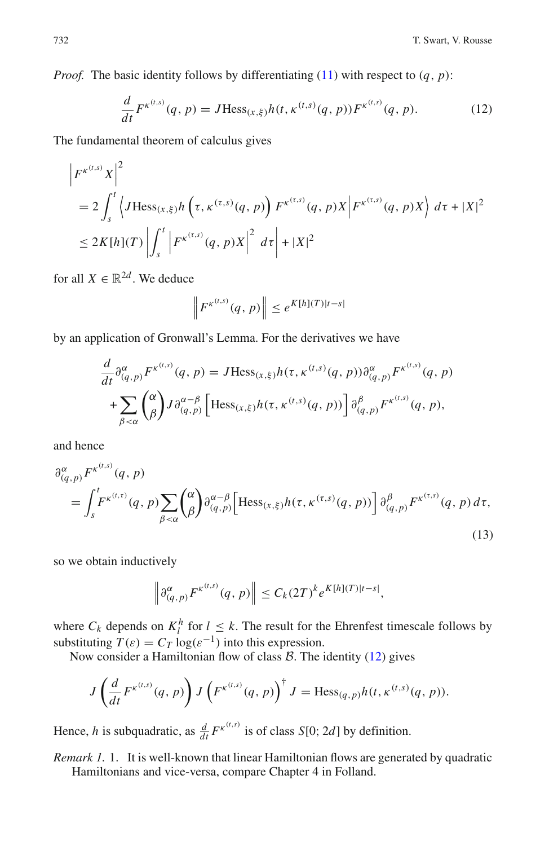<span id="page-7-0"></span>*Proof.* The basic identity follows by differentiating  $(11)$  with respect to  $(q, p)$ :

$$
\frac{d}{dt}F^{\kappa^{(t,s)}}(q,p) = J\text{Hess}_{(x,\xi)}h(t,\kappa^{(t,s)}(q,p))F^{\kappa^{(t,s)}}(q,p). \tag{12}
$$

The fundamental theorem of calculus gives

$$
\begin{aligned} \left| F^{\kappa^{(t,s)}} X \right|^2 &= 2 \int_s^t \left\langle J \text{Hess}_{(x,\xi)} h \left( \tau, \kappa^{(\tau,s)}(q,p) \right) F^{\kappa^{(\tau,s)}}(q,p) X \right| F^{\kappa^{(\tau,s)}}(q,p) X \right\rangle \, d\tau + |X|^2 \\ &\leq 2K[h](T) \left| \int_s^t \left| F^{\kappa^{(\tau,s)}}(q,p) X \right|^2 \, d\tau \right| + |X|^2 \end{aligned}
$$

for all  $X \in \mathbb{R}^{2d}$ . We deduce

$$
\left\|F^{\kappa^{(t,s)}}(q,p)\right\| \leq e^{K[h](T)|t-s|}
$$

by an application of Gronwall's Lemma. For the derivatives we have  
\n
$$
\frac{d}{dt} \partial_{(q,p)}^{\alpha} F^{\kappa^{(t,s)}}(q, p) = J \text{Hess}_{(x,\xi)} h(\tau, \kappa^{(t,s)}(q, p)) \partial_{(q,p)}^{\alpha} F^{\kappa^{(t,s)}}(q, p)
$$
\n
$$
+ \sum_{\beta < \alpha} {\alpha \choose \beta} J \partial_{(q,p)}^{\alpha - \beta} \left[ \text{Hess}_{(x,\xi)} h(\tau, \kappa^{(t,s)}(q, p)) \right] \partial_{(q,p)}^{\beta} F^{\kappa^{(t,s)}}(q, p),
$$

<span id="page-7-1"></span>and hence

$$
\beta Q\n(q,p) FK(t,s)(q, p)\n
$$
= \int_{s}^{t} FK(t,s)(q, p) \sum_{\beta < \alpha} {\alpha \choose \beta} \partial_{(q,p)}^{\alpha-\beta} \Big[ \text{Hess}_{(x,\xi)} h(\tau, \kappa^{(\tau,s)}(q, p)) \Big] \partial_{(q,p)}^{\beta} FK(\tau,s)(q, p) d\tau,
$$
\n(13)
$$

so we obtain inductively

$$
\left\|\partial_{(q,p)}^{\alpha}F^{\kappa^{(t,s)}}(q,p)\right\|\leq C_k(2T)^k e^{K[h](T)|t-s|},
$$

where  $C_k$  depends on  $K_l^h$  for  $l \leq k$ . The result for the Ehrenfest timescale follows by substituting  $T(\varepsilon) = C_T \log(\varepsilon^{-1})$  into this expression.

Now consider a Hamiltonian flow of class *B*. The identity [\(12\)](#page-7-0) gives

$$
J\left(\frac{d}{dt}F^{\kappa^{(t,s)}}(q,p)\right)J\left(F^{\kappa^{(t,s)}}(q,p)\right)^{\dagger}J=\text{Hess}_{(q,p)}h(t,\kappa^{(t,s)}(q,p)).
$$

Hence, *h* is subquadratic, as  $\frac{d}{dt} F^{\kappa^{(t,s)}}$  is of class *S*[0; 2*d*] by definition.

*Remark 1.* 1. It is well-known that linear Hamiltonian flows are generated by quadratic Hamiltonians and vice-versa, compare Chapter 4 in Folland.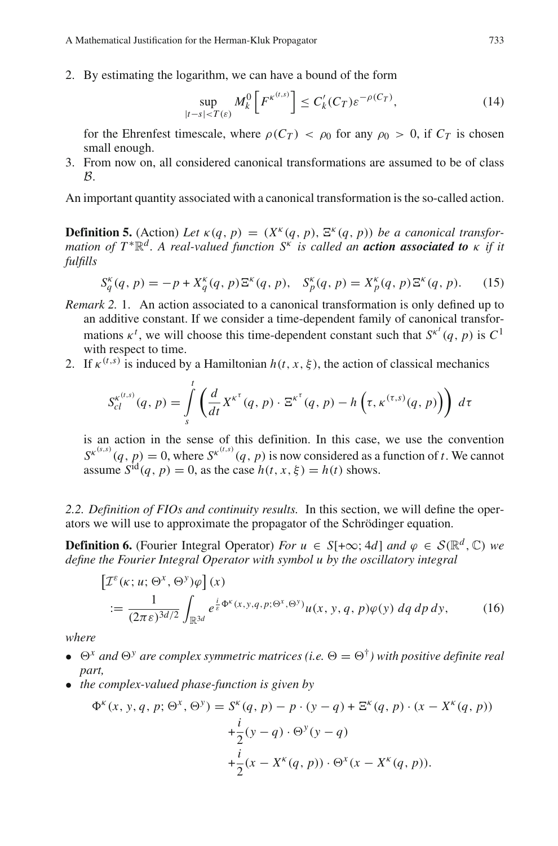2. By estimating the logarithm, we can have a bound of the form

$$
\sup_{|t-s|
$$

<span id="page-8-1"></span>for the Ehrenfest timescale, where  $\rho(C_T) < \rho_0$  for any  $\rho_0 > 0$ , if  $C_T$  is chosen small enough.

3. From now on, all considered canonical transformations are assumed to be of class *B*.

An important quantity associated with a canonical transformation is the so-called action.

**Definition 5.** (Action) Let  $\kappa(q, p) = (X^{\kappa}(q, p), \Xi^{\kappa}(q, p))$  be a canonical transfor*mation of T* <sup>∗</sup>R*<sup>d</sup> . A real-valued function S*<sup>κ</sup> *is called an action associated to* κ *if it fulfills*

$$
S_q^{\kappa}(q, p) = -p + X_q^{\kappa}(q, p) \Xi^{\kappa}(q, p), \quad S_p^{\kappa}(q, p) = X_p^{\kappa}(q, p) \Xi^{\kappa}(q, p). \tag{15}
$$

- *Remark 2.* 1. An action associated to a canonical transformation is only defined up to an additive constant. If we consider a time-dependent family of canonical transformations  $\kappa^t$ , we will choose this time-dependent constant such that  $S^{\kappa^t}(q, p)$  is  $C^1$ with respect to time.
- 2. If  $\kappa^{(t,s)}$  is induced by a Hamiltonian  $h(t, x, \xi)$ , the action of classical mechanics

$$
S_{cl}^{\kappa^{(t,s)}}(q,p) = \int\limits_s^t \left( \frac{d}{dt} X^{\kappa^{\tau}}(q,p) \cdot \Xi^{\kappa^{\tau}}(q,p) - h\left(\tau, \kappa^{(\tau,s)}(q,p)\right) \right) d\tau
$$

is an action in the sense of this definition. In this case, we use the convention  $S^{k^{(s,s)}}(q, p) = 0$ , where  $S^{k^{(t,s)}}(q, p)$  is now considered as a function of *t*. We cannot assume  $S^{id}(q, p) = 0$ , as the case  $h(t, x, \xi) = h(t)$  shows.

*2.2. Definition of FIOs and continuity results.* In this section, we will define the operators we will use to approximate the propagator of the Schrödinger equation. -*<sup>I</sup>*ε(κ; *<sup>u</sup>*; *<sup>x</sup>* , *<sup>y</sup>* )ϕ

<span id="page-8-0"></span>**Definition 6.** (Fourier Integral Operator) *For*  $u \in S[+\infty; 4d]$  *and*  $\varphi \in S(\mathbb{R}^d, \mathbb{C})$  *we define the Fourier Integral Operator with symbol u by the oscillatory integral*

$$
\begin{aligned} \left[\mathcal{I}^{\varepsilon}(\kappa; u; \Theta^{x}, \Theta^{y})\varphi\right](x) \\ := \frac{1}{(2\pi\,\varepsilon)^{3d/2}} \int_{\mathbb{R}^{3d}} e^{\frac{i}{\varepsilon}\Phi^{\kappa}(x, y, q, p; \Theta^{x}, \Theta^{y})} u(x, y, q, p)\varphi(y) \,dq \,dp \,dy, \end{aligned} \tag{16}
$$

*where*

- $\bullet$   $\Theta^x$  and  $\Theta^y$  are complex symmetric matrices (i.e.  $\Theta = \Theta^{\dagger}$ ) with positive definite real *part,*
- *the complex-valued phase-function is given by*

$$
\Phi^k(x, y, q, p; \Theta^x, \Theta^y) = S^k(q, p) - p \cdot (y - q) + \Xi^k(q, p) \cdot (x - X^k(q, p))
$$

$$
+ \frac{i}{2}(y - q) \cdot \Theta^y(y - q)
$$

$$
+ \frac{i}{2}(x - X^k(q, p)) \cdot \Theta^x(x - X^k(q, p)).
$$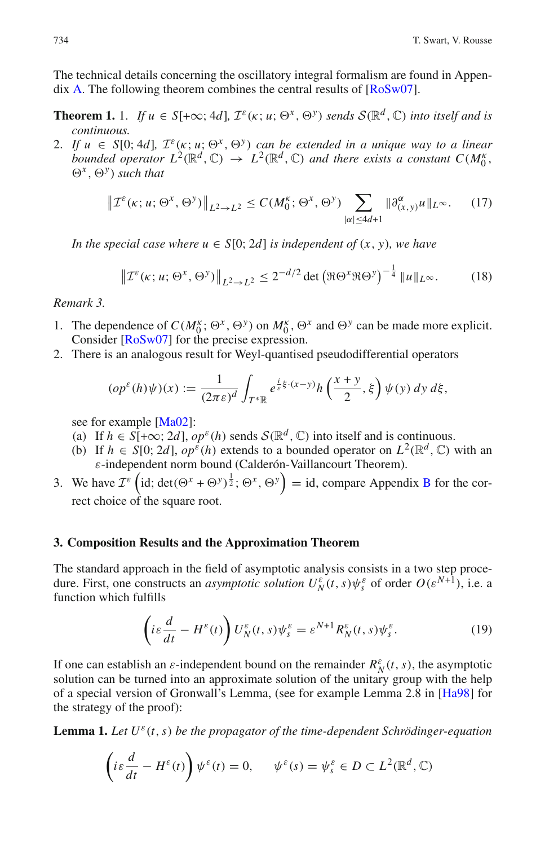<span id="page-9-0"></span>The technical details concerning the oscillatory integral formalism are found in Appendix [A.](#page-23-0) The following theorem combines the central results of [\[RoSw07\]](#page-25-0).

- **Theorem 1.** 1. *If*  $u \in S[+\infty; 4d]$ ,  $\mathcal{I}^{\varepsilon}(\kappa; u; \Theta^x, \Theta^y)$  *sends*  $S(\mathbb{R}^d, \mathbb{C})$  *into itself and is continuous.*
- 2. If  $u \in S[0; 4d]$ ,  $\mathcal{I}^{\varepsilon}(\kappa; u; \Theta^x, \Theta^y)$  can be extended in a unique way to a linear *bounded operator*  $L^2(\mathbb{R}^d, \mathbb{C}) \to L^2(\mathbb{R}^d, \mathbb{C})$  *and there exists a constant*  $C(M_0^{\kappa}, \mathbb{C})$  $\Theta^x$ ,  $\Theta^y$  *such that i* extended in a<br> *x*,  $\mathbb{C}$  and there exercise  $\sum_{i=0}^{k}$ ;  $\Theta^x$ ,  $\Theta^y$   $\sum$

$$
\left\| \mathcal{I}^{\varepsilon}(\kappa; u; \Theta^{x}, \Theta^{y}) \right\|_{L^{2} \to L^{2}} \le C(M_{0}^{\kappa}; \Theta^{x}, \Theta^{y}) \sum_{|\alpha| \le 4d+1} \|\partial_{(x,y)}^{\alpha} u\|_{L^{\infty}}.
$$
 (17)  
pecial case where  $u \in S[0; 2d]$  is independent of  $(x, y)$ , we have  

$$
\left\| \mathcal{I}^{\varepsilon}(\kappa; u; \Theta^{x}, \Theta^{y}) \right\|_{L^{2} \to L^{2}} \le 2^{-d/2} \det \left( \Re \Theta^{x} \Re \Theta^{y} \right)^{-\frac{1}{4}} \|u\|_{L^{\infty}}.
$$
 (18)

*In the special case where*  $u \in S[0; 2d]$  *is independent of*  $(x, y)$ *, we have* 

$$
\left\| \mathcal{I}^{\varepsilon}(\kappa; u; \Theta^x, \Theta^y) \right\|_{L^2 \to L^2} \le 2^{-d/2} \det \left( \Re \Theta^x \Re \Theta^y \right)^{-\frac{1}{4}} \|u\|_{L^{\infty}}.
$$
 (18)

### <span id="page-9-2"></span>*Remark 3.*

- 1. The dependence of  $C(M_0^{\kappa}; \Theta^x, \Theta^y)$  on  $M_0^{\kappa}, \Theta^x$  and  $\Theta^y$  can be made more explicit. Consider [\[RoSw07\]](#page-25-0) for the precise expression.
- 2. There is an analogous result for Weyl-quantised pseudodifferential operators

pendence of 
$$
C(M_0^{\kappa}; \Theta^x, \Theta^y)
$$
 on  $M_0^{\kappa}, \Theta^x$  and  $\Theta^y$  can be made more  
er  $[RoSw07]$  for the precise expression.  
s an analogous result for Weyl-quantised pseudodifferential operate  
 $(op^{\varepsilon}(h)\psi)(x) := \frac{1}{(2\pi\varepsilon)^d} \int_{T^*\mathbb{R}} e^{\frac{i}{\varepsilon}\xi \cdot (x-y)} h\left(\frac{x+y}{2}, \xi\right) \psi(y) dy d\xi$ ,

see for example [\[Ma02](#page-25-6)]:

- (a) If  $h \in S[+\infty; 2d]$ ,  $op^{\varepsilon}(h)$  sends  $S(\mathbb{R}^d, \mathbb{C})$  into itself and is continuous.
- (b) If  $h \in S[0; 2d]$ ,  $op^{\varepsilon}(h)$  extends to a bounded operator on  $L^2(\mathbb{R}^d, \mathbb{C})$  with an ε-independent norm bound (Calderón-Vaillancourt Theorem).
- 3. We have  $\mathcal{I}^{\varepsilon}$  (id; det( $\Theta^x + \Theta^y$ )<sup> $\frac{1}{2}$ </sup>;  $\Theta^x$ ,  $\Theta^y$ ) = id, compare Appendix [B](#page-24-11) for the correct choice of the square root.

## <span id="page-9-1"></span>**3. Composition Results and the Approximation Theorem**

The standard approach in the field of asymptotic analysis consists in a two step procedure. First, one constructs an *asymptotic solution*  $U_N^{\varepsilon}(t,s)\psi_s^{\varepsilon}$  of order  $O(\varepsilon^{N+1})$ , i.e. a function which fulfills

$$
\left(i\varepsilon\frac{d}{dt} - H^{\varepsilon}(t)\right)U_{N}^{\varepsilon}(t,s)\psi_{s}^{\varepsilon} = \varepsilon^{N+1}R_{N}^{\varepsilon}(t,s)\psi_{s}^{\varepsilon}.
$$
 (19)

If one can establish an  $\varepsilon$ -independent bound on the remainder  $R_N^{\varepsilon}(t, s)$ , the asymptotic solution can be turned into an approximate solution of the unitary group with the help of a special version of Gronwall's Lemma, (see for example Lemma 2.8 in [\[Ha98](#page-24-10)] for the strategy of the proof):

<span id="page-9-3"></span>**Lemma 1.** Let  $U^{\varepsilon}(t, s)$  be the propagator of the time-dependent Schrödinger-equation

$$
\left(i\varepsilon\frac{d}{dt} - H^{\varepsilon}(t)\right)\psi^{\varepsilon}(t) = 0, \quad \psi^{\varepsilon}(s) = \psi^{\varepsilon}_s \in D \subset L^2(\mathbb{R}^d, \mathbb{C})
$$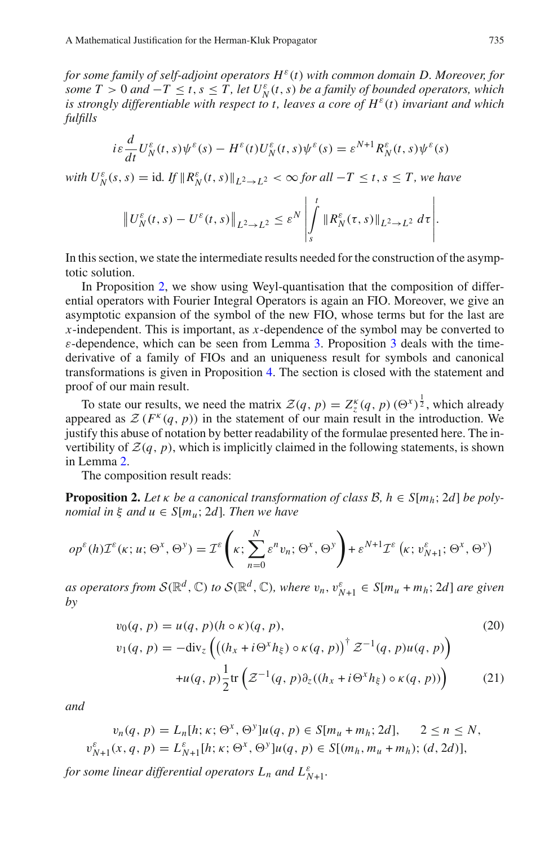*for some family of self-adjoint operators H*ε(*t*) *with common domain D. Moreover, for some*  $T > 0$  *and*  $-T \le t, s \le T$ , let  $U_N^{\varepsilon}(t, s)$  *be a family of bounded operators, which is strongly differentiable with respect to t, leaves a core of*  $H^{\varepsilon}(t)$  *invariant and which fulfills*

$$
i\varepsilon \frac{d}{dt} U_N^{\varepsilon}(t,s)\psi^{\varepsilon}(s) - H^{\varepsilon}(t)U_N^{\varepsilon}(t,s)\psi^{\varepsilon}(s) = \varepsilon^{N+1} R_N^{\varepsilon}(t,s)\psi^{\varepsilon}(s)
$$

*with*  $U_N^{\varepsilon}(s, s) = \text{id}$ . If  $||R_N^{\varepsilon}(t, s)||_{L^2 \to L^2} < \infty$  for all  $-T \le t, s \le T$ , we have

$$
\left\|U_{N}^{\varepsilon}(t,s)-U^{\varepsilon}(t,s)\right\|_{L^{2}\to L^{2}}\leq\varepsilon^{N}\left|\int\limits_{s}^{t}\|R_{N}^{\varepsilon}(\tau,s)\|_{L^{2}\to L^{2}}\,d\tau\right|.
$$

In this section, we state the intermediate results needed for the construction of the asymptotic solution.

In Proposition [2,](#page-10-0) we show using Weyl-quantisation that the composition of differential operators with Fourier Integral Operators is again an FIO. Moreover, we give an asymptotic expansion of the symbol of the new FIO, whose terms but for the last are *x*-independent. This is important, as *x*-dependence of the symbol may be converted to  $\varepsilon$ -dependence, which can be seen from Lemma [3.](#page-16-1) Proposition [3](#page-11-0) deals with the timederivative of a family of FIOs and an uniqueness result for symbols and canonical transformations is given in Proposition [4.](#page-12-1) The section is closed with the statement and proof of our main result.

To state our results, we need the matrix  $\mathcal{Z}(q, p) = Z_z^k(q, p) (\Theta^x)^{\frac{1}{2}}$ , which already appeared as  $\mathcal{Z}(F^k(q, p))$  in the statement of our main result in the introduction. We justify this abuse of notation by better readability of the formulae presented here. The invertibility of  $\mathcal{Z}(q, p)$ , which is implicitly claimed in the following statements, is shown in Lemma [2.](#page-16-2)

<span id="page-10-0"></span>The composition result reads:

**Proposition 2.** Let  $\kappa$  *be a canonical transformation of class B,*  $h \in S[m_h; 2d]$  *<i>be polynomial in*  $\xi$  *and*  $u \in S[m_u; 2d]$ *. Then we have* 

The composition result reads:  
\n**Proposition 2.** Let 
$$
\kappa
$$
 be a canonical transformation of class  $B, h \in S[m_h; 2d]$  be pol  
\nnomial in  $\xi$  and  $u \in S[m_u; 2d]$ . Then we have  
\n
$$
op^{\varepsilon}(h)\mathcal{I}^{\varepsilon}(\kappa; u; \Theta^x, \Theta^y) = \mathcal{I}^{\varepsilon}\left(\kappa; \sum_{n=0}^{N} \varepsilon^n v_n; \Theta^x, \Theta^y\right) + \varepsilon^{N+1}\mathcal{I}^{\varepsilon}\left(\kappa; v_{N+1}^{\varepsilon}; \Theta^x, \Theta^y\right)
$$

*as operators from*  $S(\mathbb{R}^d, \mathbb{C})$  *to*  $S(\mathbb{R}^d, \mathbb{C})$ *, where*  $v_n, v_{N+1}^{\varepsilon} \in S[m_u + m_h; 2d]$  *are given by*

$$
v_0(q, p) = u(q, p)(h \circ \kappa)(q, p),
$$
  
\n
$$
v_1(q, p) = -\text{div}_z \left( \left( (h_x + i\Theta^x h_{\xi}) \circ \kappa(q, p) \right)^{\dagger} Z^{-1}(q, p) u(q, p) \right)
$$
  
\n
$$
+ u(q, p) \frac{1}{2} \text{tr} \left( Z^{-1}(q, p) \partial_z ((h_x + i\Theta^x h_{\xi}) \circ \kappa(q, p)) \right)
$$
(21)

*and*

$$
v_n(q, p) = L_n[h; \kappa; \Theta^x, \Theta^y]u(q, p) \in S[m_u + m_h; 2d], \quad 2 \le n \le N,
$$
  

$$
v_{N+1}^{\varepsilon}(x, q, p) = L_{N+1}^{\varepsilon}[h; \kappa; \Theta^x, \Theta^y]u(q, p) \in S[(m_h, m_u + m_h); (d, 2d)],
$$

*for some linear differential operators*  $L_n$  *and*  $L_{N+1}^{\varepsilon}$ .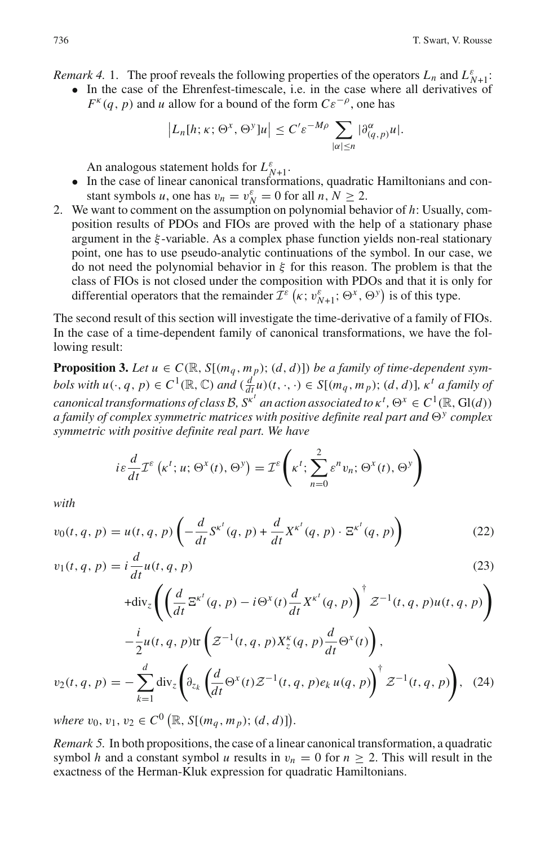*Remark 4.* 1. The proof reveals the following properties of the operators  $L_n$  and  $L_{N+1}^{\varepsilon}$ .

• In the case of the Ehrenfest-timescale, i.e. in the case where all derivatives of  $F^{k}(q, p)$  and *u* allow for a bound of the form  $C\varepsilon^{-\rho}$ , one has of reveals the following properties of<br>the Ehrenfest-timescale, i.e. in the callow for a bound of the form  $C\varepsilon^{-\rho}$ ,<br> $|L_n[h; \kappa; \Theta^x, \Theta^y]u| \le C'\varepsilon^{-M\rho}$ 

$$
|L_n[h;\kappa;\Theta^x,\Theta^y]u| \leq C' \varepsilon^{-M\rho} \sum_{|\alpha| \leq n} |\partial_{(q,p)}^\alpha u|.
$$

An analogous statement holds for  $L_{N+1}^{\varepsilon}$ .

- In the case of linear canonical transformations, quadratic Hamiltonians and constant symbols *u*, one has  $v_n = v_N^{\varepsilon} = 0$  for all *n*,  $N \ge 2$ .
- 2. We want to comment on the assumption on polynomial behavior of *h*: Usually, composition results of PDOs and FIOs are proved with the help of a stationary phase argument in the ξ -variable. As a complex phase function yields non-real stationary point, one has to use pseudo-analytic continuations of the symbol. In our case, we do not need the polynomial behavior in  $\xi$  for this reason. The problem is that the class of FIOs is not closed under the composition with PDOs and that it is only for position results of PDOs and FIOs are proved with the help of a stationary<br>argument in the  $\xi$ -variable. As a complex phase function yields non-real stat<br>point, one has to use pseudo-analytic continuations of the symbol.

The second result of this section will investigate the time-derivative of a family of FIOs. In the case of a time-dependent family of canonical transformations, we have the following result:

<span id="page-11-0"></span>**Proposition 3.** Let  $u \in C(\mathbb{R}, S[(m_q, m_p); (d, d)])$  be a family of time-dependent sym*bols with*  $u(\cdot, q, p) \in C^1(\mathbb{R}, \mathbb{C})$  *and*  $(\frac{d}{dt}\mu)(t, \cdot, \cdot) \in S[(m_q, m_p); (d, d)]$ *,*  $\kappa^t$  *a family of canonical transformations of class B*,  $S^{k'}$  *an action associated to*  $\kappa^t$ ,  $\Theta^x \in C^1(\mathbb{R}, Gl(d))$ <br>*a family of complex symmetric matrices with positive definite real part and*  $\Theta^y$  *complex<br><i>symmetric with positive a family of complex symmetric matrices with positive definite real part and*  $\Theta$ <sup>*y*</sup> *complex symmetric with positive definite real part. We have*

$$
i\varepsilon \frac{d}{dt} \mathcal{I}^{\varepsilon}(\kappa^{t}; u; \Theta^{x}(t), \Theta^{y}) = \mathcal{I}^{\varepsilon}\left(\kappa^{t}; \sum_{n=0}^{2} \varepsilon^{n} v_{n}; \Theta^{x}(t), \Theta^{y}\right)
$$

*with*

<span id="page-11-1"></span>
$$
v_0(t, q, p) = u(t, q, p) \left( -\frac{d}{dt} S^{\kappa^t}(q, p) + \frac{d}{dt} X^{\kappa^t}(q, p) \cdot \Xi^{\kappa^t}(q, p) \right)
$$
(22)

$$
v_{1}(t, q, p) = i \frac{d}{dt} u(t, q, p)
$$
\n
$$
+ \text{div}_{z} \left( \left( \frac{d}{dt} \Xi^{\kappa^{t}}(q, p) - i \Theta^{\chi}(t) \frac{d}{dt} X^{\kappa^{t}}(q, p) \right)^{\dagger} Z^{-1}(t, q, p) u(t, q, p) \right)
$$
\n
$$
- \frac{i}{2} u(t, q, p) \text{tr} \left( Z^{-1}(t, q, p) X_{z}^{\kappa}(q, p) \frac{d}{dt} \Theta^{\chi}(t) \right),
$$
\n
$$
v_{2}(t, q, p) = - \sum_{k=1}^{d} \text{div}_{z} \left( \partial_{z_{k}} \left( \frac{d}{dt} \Theta^{\chi}(t) Z^{-1}(t, q, p) e_{k} u(q, p) \right)^{\dagger} Z^{-1}(t, q, p) \right), \quad (24)
$$
\nwhere  $v_{0}, v_{1}, v_{2} \in C^{0} \left( \mathbb{R}, S[(m_{q}, m_{p}); (d, d)] \right).$ 

*Remark 5.* In both propositions, the case of a linear canonical transformation, a quadratic symbol *h* and a constant symbol *u* results in  $v_n = 0$  for  $n \geq 2$ . This will result in the exactness of the Herman-Kluk expression for quadratic Hamiltonians.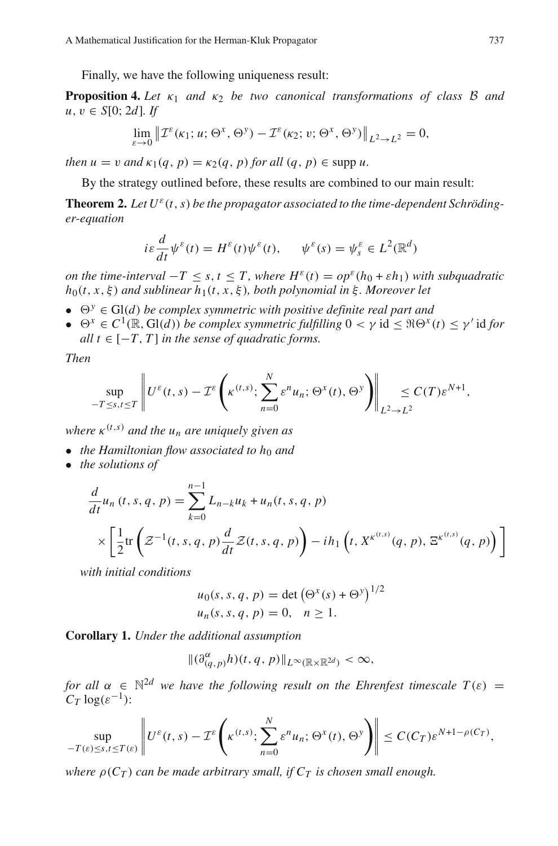Finally, we have the following uniqueness result:

**Proposition 4.** *Let*  $\kappa_1$  *and*  $\kappa_2$  *be two canonical transformations of class B and u*, *v* ∈ *S*[0; 2*d*]*. If* 

<span id="page-12-1"></span>
$$
\lim_{\varepsilon \to 0} \left\| \mathcal{I}^{\varepsilon}(\kappa_1; u; \Theta^x, \Theta^y) - \mathcal{I}^{\varepsilon}(\kappa_2; v; \Theta^x, \Theta^y) \right\|_{L^2 \to L^2} = 0,
$$

*then*  $u = v$  *and*  $\kappa_1(q, p) = \kappa_2(q, p)$  *for all*  $(q, p) \in \text{supp } u$ .

By the strategy outlined before, these results are combined to our main result:

**Theorem 2.** Let  $U^{\varepsilon}(t, s)$  be the propagator associated to the time-dependent Schröding*er-equation*

<span id="page-12-0"></span>
$$
i\varepsilon \frac{d}{dt} \psi^{\varepsilon}(t) = H^{\varepsilon}(t) \psi^{\varepsilon}(t), \qquad \psi^{\varepsilon}(s) = \psi^{\varepsilon}_s \in L^2(\mathbb{R}^d)
$$

*on the time-interval*  $-T \leq s, t \leq T$ , where  $H^{\varepsilon}(t) = op^{\varepsilon}(h_0 + \varepsilon h_1)$  with subquadratic  $h_0(t, x, \xi)$  *and sublinear*  $h_1(t, x, \xi)$ *, both polynomial in*  $\xi$ *. Moreover let* 

- $\Theta^y \in \text{Gl}(d)$  *be complex symmetric with positive definite real part and*
- $\bullet$   $\Theta^x \in C^1(\mathbb{R}, \text{Gl}(d))$  *be complex symmetric fulfilling* 0 < γ id ≤  $\Re\Theta^x(t) \le \gamma'$  id for  $all \ t \in [-T, T]$  *in the sense of quadratic forms.* with positive aefinite red<br>imetric fulfilling 0 < γ

*Then*

$$
\sup_{-T\leq s,t\leq T}\left\|U^{\varepsilon}(t,s)-\mathcal{I}^{\varepsilon}\left(\kappa^{(t,s)};\sum_{n=0}^{N}\varepsilon^{n}u_{n};\Theta^{x}(t),\Theta^{y}\right)\right\|_{L^{2}\to L^{2}}\leq C(T)\varepsilon^{N+1},
$$

- *the Hamiltonian flow associated to h<sub>0</sub> and*
- *the solutions of*

where 
$$
\kappa^{(t,s)}
$$
 and the  $u_n$  are uniquely given as  
\n• the Hamiltonian flow associated to  $h_0$  and  
\n• the solutions of  
\n
$$
\frac{d}{dt}u_n(t,s,q,p) = \sum_{k=0}^{n-1} L_{n-k}u_k + u_n(t,s,q,p)
$$
\n
$$
\times \left[ \frac{1}{2} \text{tr} \left( \mathcal{Z}^{-1}(t,s,q,p) \frac{d}{dt} \mathcal{Z}(t,s,q,p) \right) - ih_1 \left( t, X^{\kappa^{(t,s)}}(q,p), \Xi^{\kappa^{(t,s)}}(q,p) \right) \right]
$$
\nwith initial conditions  
\n
$$
u_0(s,s,q,p) = \det \left( \Theta^x(s) + \Theta^y \right)^{1/2}
$$

 $1/2$ 

*with initial conditions*

$$
u_0(s, s, q, p) = \det (\Theta^x(s) + \Theta^y)^{1/2}
$$
  
 $u_n(s, s, q, p) = 0, n \ge 1.$ 

<span id="page-12-2"></span>**Corollary 1.** *Under the additional assumption*

$$
\|(\partial_{(q,p)}^{\alpha}h)(t,q,p)\|_{L^{\infty}(\mathbb{R}\times\mathbb{R}^{2d})}<\infty,
$$

*for all*  $\alpha \in \mathbb{N}^{2d}$  *we have the following result on the Ehrenfest timescale*  $T(\varepsilon)$  =  $C_T \log(\varepsilon^{-1})$ :  $\mathbb{R}^{2d}$  we have the following result on the Ehre

$$
\sup_{-T(\varepsilon)\leq s,t\leq T(\varepsilon)}\left\|U^{\varepsilon}(t,s)-\mathcal{I}^{\varepsilon}\left(\kappa^{(t,s)};\sum_{n=0}^{N}\varepsilon^{n}u_{n};\Theta^{x}(t),\Theta^{y}\right)\right\|\leq C(C_{T})\varepsilon^{N+1-\rho(C_{T})},
$$

*where*  $\rho(C_T)$  *can be made arbitrary small, if*  $C_T$  *is chosen small enough.*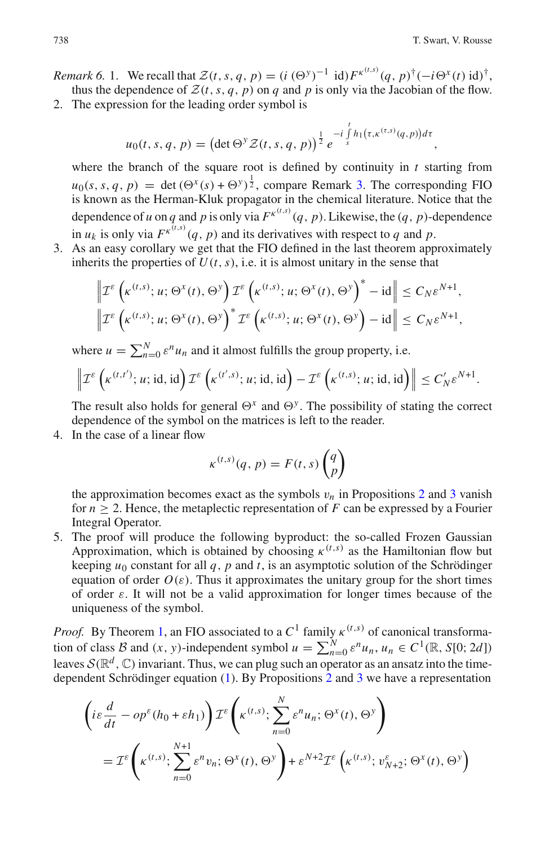- Remark 6. 1. We recall that  $\mathcal{Z}(t, s, q, p) = (i (\Theta^y)^{-1} \text{ id}) F^{\kappa^{(t,s)}}(q, p)^{\dagger} (-i \Theta^x(t) \text{ id})^{\dagger}$ ,<br>thus the dependence of  $\mathcal{Z}(t, s, q, p)$  on q and p is only via the Jacobian of the flow.<br>2. The expression for the leading thus the dependence of  $\mathcal{Z}(t, s, q, p)$  on *q* and *p* is only via the Jacobian of the flow.
- 2. The expression for the leading order symbol is

$$
u_0(t,s,q,p) = \left(\det \Theta^y \mathcal{Z}(t,s,q,p)\right)^{\frac{1}{2}} e^{-i\int_s^t h_1(\tau,\kappa^{(\tau,s)}(q,p))d\tau},
$$

where the branch of the square root is defined by continuity in *t* starting from  $u_0(s, s, q, p) = \det (\Theta^x(s) + \Theta^y)^{\frac{1}{2}}$ , compare Remark [3.](#page-9-2) The corresponding FIO is known as the Herman-Kluk propagator in the chemical literature. Notice that the dependence of *u* on *q* and *p* is only via  $F^{\kappa^{(t,s)}}(q, p)$ . Likewise, the  $(q, p)$ -dependence in  $u_k$  is only via  $F^{k^{(t,s)}}(q, p)$  and its derivatives with respect to *q* and *p*.

3. As an easy corollary we get that the FIO defined in the last theorem approximately inherits the properties of  $U(t, s)$ , i.e. it is almost unitary in the sense that

$$
\left\| \mathcal{I}^{\varepsilon} \left( \kappa^{(t,s)}; u; \Theta^x(t), \Theta^y \right) \mathcal{I}^{\varepsilon} \left( \kappa^{(t,s)}; u; \Theta^x(t), \Theta^y \right)^* - id \right\| \leq C_N \varepsilon^{N+1},
$$
  

$$
\left\| \mathcal{I}^{\varepsilon} \left( \kappa^{(t,s)}; u; \Theta^x(t), \Theta^y \right)^* \mathcal{I}^{\varepsilon} \left( \kappa^{(t,s)}; u; \Theta^x(t), \Theta^y \right) - id \right\| \leq C_N \varepsilon^{N+1},
$$
  
where  $u = \sum_{n=0}^N \varepsilon^n u_n$  and it almost fulfills the group property, i.e.  

$$
\left\| \mathcal{I}^{\varepsilon} \left( \kappa^{(t,t')}; u; id, id \right) \mathcal{I}^{\varepsilon} \left( \kappa^{(t',s)}; u; id, id \right) - \mathcal{I}^{\varepsilon} \left( \kappa^{(t,s)}; u; id, id \right) \right\| \leq C_N' \varepsilon^N
$$

$$
\left\| \mathcal{I}^{\varepsilon} \left( \kappa^{(t,t')}; u; \text{id}, \text{id} \right) \mathcal{I}^{\varepsilon} \left( \kappa^{(t',s)}; u; \text{id}, \text{id} \right) - \mathcal{I}^{\varepsilon} \left( \kappa^{(t,s)}; u; \text{id}, \text{id} \right) \right\| \leq C_{N}' \varepsilon^{N+1}.
$$

The result also holds for general  $\Theta^x$  and  $\Theta^y$ . The possibility of stating the correct dependence of the symbol on the matrices is left to the reader.

4. In the case of a linear flow

$$
\kappa^{(t,s)}(q,p) = F(t,s) \begin{pmatrix} q \\ p \end{pmatrix}
$$

the approximation becomes exact as the symbols  $v_n$  in Propositions [2](#page-10-0) and [3](#page-11-0) vanish for  $n \geq 2$ . Hence, the metaplectic representation of *F* can be expressed by a Fourier Integral Operator.

5. The proof will produce the following byproduct: the so-called Frozen Gaussian Approximation, which is obtained by choosing  $\kappa^{(t,s)}$  as the Hamiltonian flow but keeping  $u_0$  constant for all  $q$ ,  $p$  and  $t$ , is an asymptotic solution of the Schrödinger equation of order  $O(\varepsilon)$ . Thus it approximates the unitary group for the short times of order  $\varepsilon$ . It will not be a valid approximation for longer times because of the uniqueness of the symbol. the equation of order *O*(*ε*). Thus it approximates the unitary group for the short times<br>of order *ε*. It will not be a valid approximation for longer times because of the<br>uniqueness of the symbol.<br>*Proof.* By Theorem

*Proof.* By Theorem [1,](#page-9-0) an FIO associated to a  $C^1$  family  $\kappa^{(t,s)}$  of canonical transformaleaves  $\mathcal{S}(\mathbb{R}^d, \mathbb{C})$  invariant. Thus, we can plug such an operator as an ansatz into the timedependent Schrödinger equation [\(1\)](#page-0-0). By Propositions [2](#page-10-0) and [3](#page-11-0) we have a representation

$$
\begin{aligned}\n\left( i\varepsilon \frac{d}{dt} - op^{\varepsilon}(h_0 + \varepsilon h_1) \right) &\mathcal{I}^{\varepsilon} \left( \kappa^{(t,s)}; \sum_{n=0}^{N} \varepsilon^{n} u_n; \Theta^x(t), \Theta^y \right) \\
&= \mathcal{I}^{\varepsilon} \left( \kappa^{(t,s)}; \sum_{n=0}^{N+1} \varepsilon^{n} v_n; \Theta^x(t), \Theta^y \right) + \varepsilon^{N+2} \mathcal{I}^{\varepsilon} \left( \kappa^{(t,s)}; v_{N+2}^{\varepsilon}; \Theta^x(t), \Theta^y \right)\n\end{aligned}
$$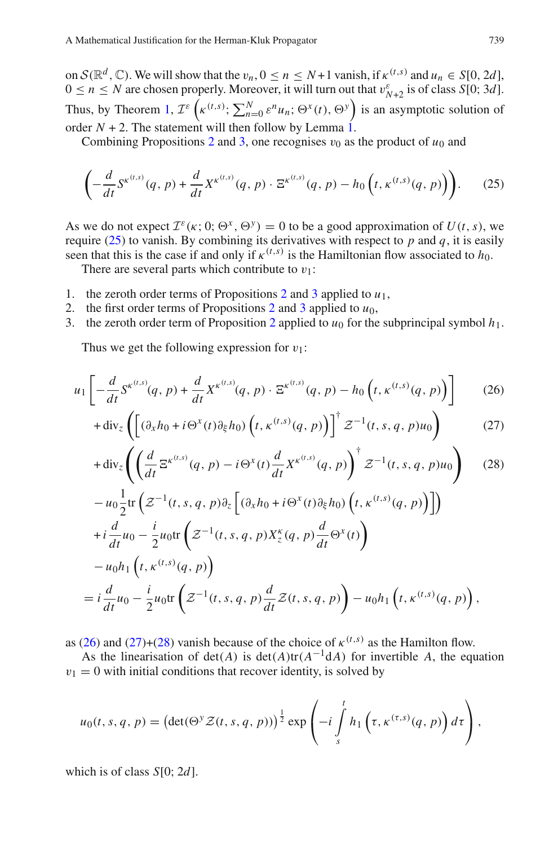on  $S(\mathbb{R}^d, \mathbb{C})$ . We will show that the  $v_n, 0 \le n \le N+1$  vanish, if  $\kappa^{(t,s)}$  and  $u_n \in S[0, 2d]$ ,  $0 \le n \le N$  are chosen properly. Moreover, it will turn out that  $v_{N+2}^{\varepsilon}$  is of class *S*[0; 3*d*]. Thus, by Theorem [1,](#page-9-0)  $\mathcal{I}^{\varepsilon}\left(\kappa^{(t,s)}\right; \sum_{n=0}^{N} \varepsilon^{n} u_n; \Theta^x(t), \Theta^y\right)$  is an asymptotic solution of order  $N + 2$ . The statement will then follow by Lemma [1.](#page-9-3)

Combining Propositions [2](#page-10-0) and [3,](#page-11-0) one recognises  $v_0$  as the product of  $u_0$  and

$$
\left(-\frac{d}{dt}S^{\kappa^{(t,s)}}(q,p)+\frac{d}{dt}X^{\kappa^{(t,s)}}(q,p)\cdot\Xi^{\kappa^{(t,s)}}(q,p)-h_0\left(t,\kappa^{(t,s)}(q,p)\right)\right).
$$
 (25)

<span id="page-14-0"></span>As we do not expect  $\mathcal{I}^{\varepsilon}(\kappa; 0; \Theta^x, \Theta^y) = 0$  to be a good approximation of  $U(t, s)$ , we require  $(25)$  to vanish. By combining its derivatives with respect to *p* and *q*, it is easily seen that this is the case if and only if  $\kappa^{(t,s)}$  is the Hamiltonian flow associated to  $h_0$ .

There are several parts which contribute to  $v_1$ :

- 1. the zeroth order terms of Propositions  $2$  and  $3$  applied to  $u_1$ ,
- [2](#page-10-0). the first order terms of Propositions 2 and [3](#page-11-0) applied to  $u_0$ ,
- 3. the zeroth order term of Proposition [2](#page-10-0) applied to  $u_0$  for the subprincipal symbol  $h_1$ . j.

Thus we get the following expression for  $v_1$ :

<span id="page-14-1"></span>
$$
u_1 \left[ -\frac{d}{dt} S^{\kappa^{(t,s)}}(q, p) + \frac{d}{dt} X^{\kappa^{(t,s)}}(q, p) \cdot \Xi^{\kappa^{(t,s)}}(q, p) - h_0 \left( t, \kappa^{(t,s)}(q, p) \right) \right]
$$
(26)

$$
+ \operatorname{div}_z \left( \left[ \left( \partial_x h_0 + i \Theta^x(t) \partial_{\xi} h_0 \right) \left( t, \kappa^{(t,s)}(q, p) \right) \right]^{\dagger} \mathcal{Z}^{-1}(t, s, q, p) u_0 \right) \tag{27}
$$

$$
+ \operatorname{div}_z \left( \left[ (\partial_x h_0 + i \Theta^x(t) \partial_{\xi} h_0) \left( t, \kappa^{(t,s)}(q, p) \right) \right] z^{-1}(t, s, q, p) u_0 \right) \tag{27}
$$
  

$$
+ \operatorname{div}_z \left( \left( \frac{d}{dt} \Xi^{\kappa^{(t,s)}}(q, p) - i \Theta^x(t) \frac{d}{dt} X^{\kappa^{(t,s)}}(q, p) \right)^{\dagger} Z^{-1}(t, s, q, p) u_0 \right) \tag{28}
$$
  

$$
- u_0 \frac{1}{2} \operatorname{tr} \left( Z^{-1}(t, s, q, p) \partial_z \left[ (\partial_x h_0 + i \Theta^x(t) \partial_{\xi} h_0) \left( t, \kappa^{(t,s)}(q, p) \right) \right] \right)
$$

$$
+ \operatorname{div}_z \left( \left( \frac{d}{dt} \Xi^{\kappa^{(t,s)}}(q, p) - i \Theta^x(t) \frac{d}{dt} X^{\kappa^{(t,s)}}(q, p) \right)^{\dagger} \mathcal{Z}^{-1}(t, s, q, p) u_0 \right) \tag{2}
$$
  
\n
$$
- u_0 \frac{1}{2} \operatorname{tr} \left( \mathcal{Z}^{-1}(t, s, q, p) \partial_z \left[ (\partial_x h_0 + i \Theta^x(t) \partial_{\xi} h_0) \left( t, \kappa^{(t,s)}(q, p) \right) \right] \right)
$$
  
\n
$$
+ i \frac{d}{dt} u_0 - \frac{i}{2} u_0 \operatorname{tr} \left( \mathcal{Z}^{-1}(t, s, q, p) X_z^{\kappa}(q, p) \frac{d}{dt} \Theta^x(t) \right)
$$
  
\n
$$
- u_0 h_1 \left( t, \kappa^{(t,s)}(q, p) \right)
$$
  
\n
$$
= i \frac{d}{dt} u_0 - \frac{i}{2} u_0 \operatorname{tr} \left( \mathcal{Z}^{-1}(t, s, q, p) \frac{d}{dt} \mathcal{Z}(t, s, q, p) \right) - u_0 h_1 \left( t, \kappa^{(t,s)}(q, p) \right),
$$

as [\(26\)](#page-14-1) and [\(27\)](#page-14-1)+[\(28\)](#page-14-1) vanish because of the choice of  $\kappa^{(t,s)}$  as the Hamilton flow.

 $v_1 = 0$  with initial conditions that recover identity, is solved by

(26) and (27)+(28) vanish because of the choice of 
$$
k^{(1,2)}
$$
 as the Hamilton flow.  
As the linearisation of det(A) is det(A)tr( $A^{-1}dA$ ) for invertible A, the equation  
= 0 with initial conditions that recover identity, is solved by  
 $u_0(t, s, q, p) = (\det(\Theta^y Z(t, s, q, p)))^{\frac{1}{2}} \exp\left(-i \int_s^t h_1 \left(\tau, \kappa^{(\tau,s)}(q, p)\right) d\tau\right)$ ,

which is of class *S*[0; 2*d*].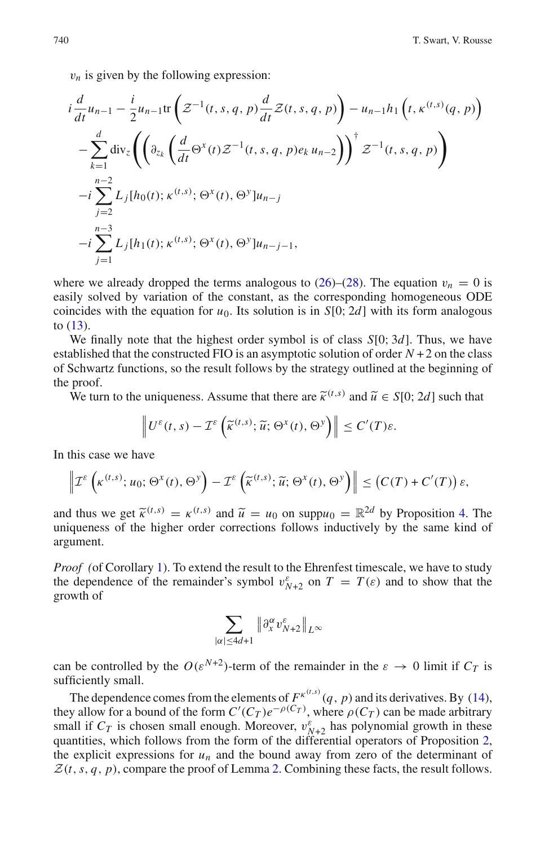$v_n$  is given by the following expression: s given by the fol

$$
v_n \text{ is given by the following expression:}
$$
\n
$$
i \frac{d}{dt} u_{n-1} - \frac{i}{2} u_{n-1} \text{tr} \left( \mathcal{Z}^{-1}(t, s, q, p) \frac{d}{dt} \mathcal{Z}(t, s, q, p) \right) - u_{n-1} h_1 \left( t, \kappa^{(t,s)}(q, p) \right)
$$
\n
$$
- \sum_{k=1}^d \text{div}_z \left( \left( \partial_{z_k} \left( \frac{d}{dt} \Theta^x(t) \mathcal{Z}^{-1}(t, s, q, p) e_k u_{n-2} \right) \right)^{\dagger} \mathcal{Z}^{-1}(t, s, q, p) \right)
$$
\n
$$
-i \sum_{j=2}^{n-2} L_j [h_0(t); \kappa^{(t,s)}; \Theta^x(t), \Theta^y] u_{n-j}
$$
\n
$$
-i \sum_{j=1}^{n-3} L_j [h_1(t); \kappa^{(t,s)}; \Theta^x(t), \Theta^y] u_{n-j-1},
$$

where we already dropped the terms analogous to  $(26)$ – $(28)$ . The equation  $v_n = 0$  is easily solved by variation of the constant, as the corresponding homogeneous ODE coincides with the equation for  $u_0$ . Its solution is in  $S[0; 2d]$  with its form analogous to [\(13\)](#page-7-1).

We finally note that the highest order symbol is of class *S*[0; 3*d*]. Thus, we have we many note that the inglest order *symbol* is of easy  $S[0, 9a]$ . Thus, we have established that the constructed FIO is an asymptotic solution of order  $N + 2$  on the class of Schwartz functions, so the result follows by the strategy outlined at the beginning of the proof. We finally note that the highest order symbol is of class *S*[0; 3*d*]. Thus, we have ablished that the constructed FIO is an asymptotic solution of order *N* + 2 on the clase Schwartz functions, so the result follows by *x* (*t*), it is the result follows by the strate<br> *x* (*t*, *i*) uniqueness. Assume that there are  $\tilde{\kappa}^{(t)}$ ,<br>  $\left\| U^{\varepsilon}(t,s) - \mathcal{I}^{\varepsilon} \left( \tilde{\kappa}^{(t,s)}; \tilde{u}; \Theta^{x}(t), \Theta^{y} \right) \right\|$ 

we turn to the uniqueness. Assume that there are  $\kappa$  and  $\kappa$ 

$$
U^{\varepsilon}(t,s) - \mathcal{I}^{\varepsilon}\left(\widetilde{\kappa}^{(t,s)}; \widetilde{u}; \Theta^x(t), \Theta^y\right) \le C'(T)\varepsilon.
$$
  
ve  

$$
\Theta^x(t), \Theta^y \Big) - \mathcal{I}^{\varepsilon}\left(\widetilde{\kappa}^{(t,s)}; \widetilde{u}; \Theta^x(t), \Theta^y\right) \le (C(\Theta^y))
$$

In this case we have

$$
\left\| \mathcal{I}^{\varepsilon}\left(\kappa^{(t,s)}; u_0; \Theta^x(t), \Theta^y\right) - \mathcal{I}^{\varepsilon}\left(\widetilde{\kappa}^{(t,s)}; \widetilde{u}; \Theta^x(t), \Theta^y\right) \right\| \leq \left(C(T) + C'(T)\right)\varepsilon,
$$

and thus we get  $\widetilde{\kappa}^{(t,s)} = \kappa^{(t,s)}$  and  $\widetilde{u} = u_0$  on supp $u_0 = \mathbb{R}^{2d}$  by Proposition [4.](#page-12-1) The uniqueness of the higher order corrections follows inductively by the same kind of argument.

*Proof (*of Corollary [1\)](#page-12-2). To extend the result to the Ehrenfest timescale, we have to study the dependence of the remainder's symbol  $v_{N+2}^{\varepsilon}$  on  $T = T(\varepsilon)$  and to show that the growth of

$$
\sum_{|\alpha|\leq 4d+1} \|\partial_x^{\alpha} v_{N+2}^{\varepsilon}\|_{L^{\infty}}
$$

can be controlled by the  $O(\varepsilon^{N+2})$ -term of the remainder in the  $\varepsilon \to 0$  limit if  $C_T$  is sufficiently small.

The dependence comes from the elements of  $F^{\kappa^{(t,s)}}(q, p)$  and its derivatives. By [\(14\)](#page-8-1), they allow for a bound of the form  $C'(C_T)e^{-\rho(C_T)}$ , where  $\rho(C_T)$  can be made arbitrary small if  $C_T$  is chosen small enough. Moreover,  $v_{N+2}^{\varepsilon}$  has polynomial growth in these quantities, which follows from the form of the differential operators of Proposition [2,](#page-10-0) the explicit expressions for  $u_n$  and the bound away from zero of the determinant of  $Z(t, s, q, p)$ , compare the proof of Lemma [2.](#page-16-2) Combining these facts, the result follows.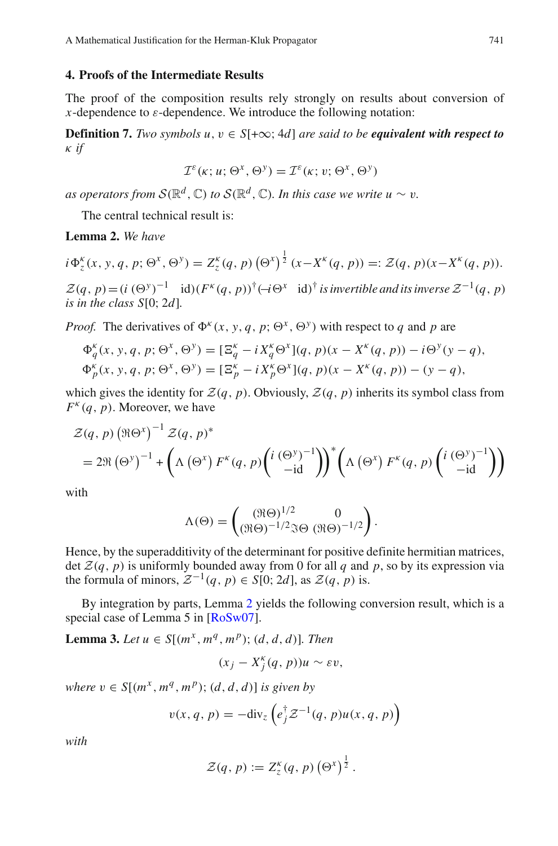### <span id="page-16-0"></span>**4. Proofs of the Intermediate Results**

The proof of the composition results rely strongly on results about conversion of *x*-dependence to  $\varepsilon$ -dependence. We introduce the following notation:

**Definition 7.** *Two symbols u, v*  $\in$  *S*[+ $\infty$ ; 4*d*] *are said to be equivalent with respect to* κ *if*

<span id="page-16-2"></span>
$$
\mathcal{I}^{\varepsilon}(\kappa; u; \Theta^x, \Theta^y) = \mathcal{I}^{\varepsilon}(\kappa; v; \Theta^x, \Theta^y)
$$

The central technical result is:

**Lemma 2.** *We have*

as operators from 
$$
S(\mathbb{R}^d, \mathbb{C})
$$
 to  $S(\mathbb{R}^d, \mathbb{C})$ . In this case we write  $u \sim v$ .  
\nThe central technical result is:  
\n**Lemma 2.** We have  
\n $i\Phi_z^{\kappa}(x, y, q, p; \Theta^x, \Theta^y) = Z_z^{\kappa}(q, p) (\Theta^x)^{\frac{1}{2}} (x - X^{\kappa}(q, p)) =: \mathcal{Z}(q, p)(x - X^{\kappa}(q, p)).$ 

 $\mathcal{Z}(q, p) = (i \ (\Theta^y)^{-1} \text{ id}) (F^k(q, p))^{\dagger} (\neg \Theta^x \text{ id})^{\dagger}$  *is invertible and its inverse*  $\mathcal{Z}^{-1}(q, p)$ *is in the class S*[0; 2*d*]*.*

*Proof.* The derivatives of  $\Phi^k(x, y, q, p; \Theta^x, \Theta^y)$  with respect to *q* and *p* are

$$
\Phi_q^k(x, y, q, p; \Theta^x, \Theta^y) = [\Xi_q^k - iX_q^k \Theta^x](q, p)(x - X^k(q, p)) - i\Theta^y(y - q), \n\Phi_p^k(x, y, q, p; \Theta^x, \Theta^y) = [\Xi_p^k - iX_p^k \Theta^x](q, p)(x - X^k(q, p)) - (y - q),
$$

which gives the identity for  $\mathcal{Z}(q, p)$ . Obviously,  $\mathcal{Z}(q, p)$  inherits its symbol class from  $F^{k}(q, p)$ . Moreover, we have  $\left(\frac{q}{q}, p\right)$ <br>s the is<br>Moreo<br> $\Re\Theta^x$ )

which gives the identity for 
$$
Z(q, p)
$$
. Obviously,  $Z(q, p)$  inherits its symbol class from  
\n
$$
Z(q, p) \left(\Re\Theta^x\right)^{-1} Z(q, p)^*
$$
\n
$$
= 2\Re \left(\Theta^y\right)^{-1} + \left(\Lambda \left(\Theta^x\right) F^k(q, p) \left(\frac{i \left(\Theta^y\right)^{-1}}{-id}\right)\right)^* \left(\Lambda \left(\Theta^x\right) F^k(q, p) \left(\frac{i \left(\Theta^y\right)^{-1}}{-id}\right)\right)
$$

with

$$
\Lambda(\Theta) = \begin{pmatrix} (\Re \Theta)^{1/2} & 0 \\ (\Re \Theta)^{-1/2} \Im \Theta & (\Re \Theta)^{-1/2} \end{pmatrix}.
$$

Hence, by the superadditivity of the determinant for positive definite hermitian matrices, det  $\mathcal{Z}(q, p)$  is uniformly bounded away from 0 for all q and p, so by its expression via the formula of minors,  $\mathcal{Z}^{-1}(q, p) \in S[0; 2d]$ , as  $\mathcal{Z}(q, p)$  is.

By integration by parts, Lemma [2](#page-16-2) yields the following conversion result, which is a special case of Lemma 5 in [\[RoSw07](#page-25-0)].

**Lemma 3.** *Let*  $u \in S[(m^x, m^q, m^p); (d, d, d)]$ *. Then* 

<span id="page-16-1"></span>
$$
(x_j - X_j^{\kappa}(q, p))u \sim \varepsilon v,
$$

*where*  $v \in S[(m^x, m^q, m^p); (d, d, d)]$  *is given by* 

$$
v(x, q, p) = -\text{div}_z \left( e_j^{\dagger} \mathcal{Z}^{-1}(q, p) u(x, q, p) \right)
$$

$$
v(x, q, p) = -\text{div}_z \left( e_j^{\dagger} \mathcal{Z}^{-1}(q, p) u(x, q, p) \right)
$$

$$
\mathcal{Z}(q, p) := Z_z^{\kappa}(q, p) \left( \Theta^x \right)^{\frac{1}{2}}.
$$

*with*

$$
\mathcal{Z}(q,p) := Z_z^{\kappa}(q,p) \left(\Theta^x\right)^{\frac{1}{2}}.
$$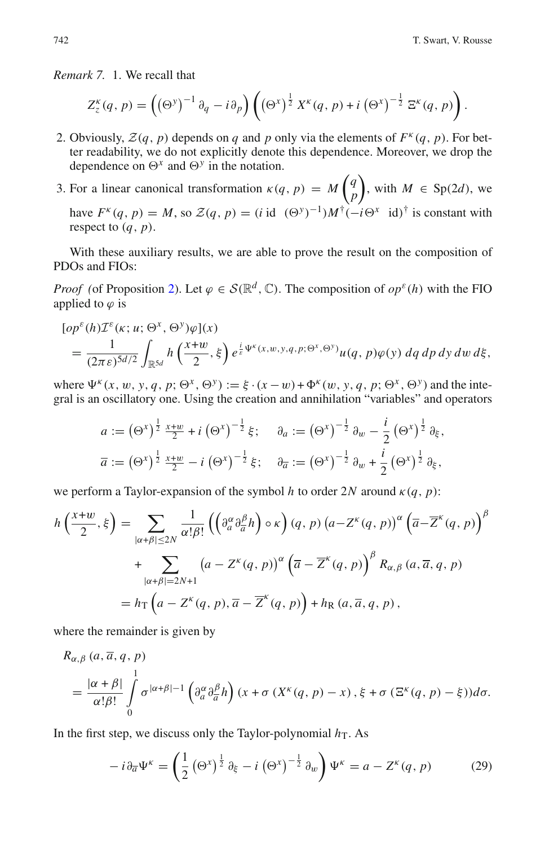*Remark 7.* 1. We recall that

T. Swart, V. F  
\n
$$
z^{k} = \int_{z}^{R}(q, p) = \left(\left(\Theta^{y}\right)^{-1} \partial_{q} - i \partial_{p}\right) \left(\left(\Theta^{x}\right)^{\frac{1}{2}} X^{k}(q, p) + i \left(\Theta^{x}\right)^{-\frac{1}{2}} \Xi^{k}(q, p)\right).
$$

- 2. Obviously,  $\mathcal{Z}(q, p)$  depends on *q* and *p* only via the elements of  $F^k(q, p)$ . For better readability, we do not explicitly denote this dependence. Moreover, we drop the dependence on  $\Theta^x$  and  $\Theta^y$  in the notation.
- 3. For a linear canonical transformation  $\kappa(q, p) = M\left(\frac{q}{r}\right)$ *p* ), with  $M \in Sp(2d)$ , we have  $F^{k}(q, p) = M$ , so  $\mathcal{Z}(q, p) = (i \text{ id } (\Theta^{y})^{-1})M^{\dagger}(-i\Theta^{x} \text{ id})^{\dagger}$  is constant with respect to  $(q, p)$ .

With these auxiliary results, we are able to prove the result on the composition of PDOs and FIOs:

*Proof* (of Proposition [2\)](#page-10-0). Let  $\varphi \in \mathcal{S}(\mathbb{R}^d, \mathbb{C})$ . The composition of  $op^{\varepsilon}(h)$  with the FIO applied to  $\varphi$  is

Proof (of Proposition 2). Let 
$$
\varphi \in \mathcal{S}(\mathbb{R}^d, \mathbb{C})
$$
. The composition of  $op^{\varepsilon}(h)$  with the FIO  
\nopplied to  $\varphi$  is

\n
$$
[op^{\varepsilon}(h)\mathcal{I}^{\varepsilon}(\kappa; u; \Theta^x, \Theta^y)\varphi](x)
$$

\n
$$
= \frac{1}{(2\pi\varepsilon)^{5d/2}} \int_{\mathbb{R}^{5d}} h\left(\frac{x+w}{2}, \xi\right) e^{\frac{i}{\varepsilon}\Psi^{\varepsilon}(x, w, y, q, p; \Theta^x, \Theta^y)} u(q, p)\varphi(y) \, dq \, dp \, dy \, dw \, d\xi,
$$

where  $\Psi^{k}(x, w, y, q, p; \Theta^{x}, \Theta^{y}) := \xi \cdot (x - w) + \Phi^{k}(w, y, q, p; \Theta^{x}, \Theta^{y})$  and the integral is an oscillatory one. Using the creation and annihilation "variables" and operators  $\int_{\mathbb{R}^5} \int_{\mathbb{R}^5} h\left(\frac{h}{2}, \xi\right) e^{\xi} \cdot \lim_{(x, y, y, y, z)} \int_{u(q, p)\varphi(y)} u q \, dy$ <br>  $\int_{\mathbb{R}^5} f(x, w, y, q, p; \Theta^x, \Theta^y) := \xi \cdot (x - w) + \Phi^k(w, y, q, p; \Theta^x, \Theta^y)$ <br>
oscillatory one. Using the creation and annihilation "variables"<br>  $a := (\$  $\Phi^{y}$ ) :=  $\xi \cdot (x - w) + \Phi^{x}(w, y, q, p; \Theta)$ 

e 
$$
\Psi^k(x, w, y, q, p; \Theta^k, \Theta^j) := \xi \cdot (x - w) + \Phi^k(w, y, q, p; \Theta^k, \Theta^j)
$$
 and  
\ns an oscillatory one. Using the creation and annihilation "variables" and  
\n
$$
a := (\Theta^x)^{\frac{1}{2}} \frac{x + w}{2} + i (\Theta^x)^{-\frac{1}{2}} \xi; \quad \partial_a := (\Theta^x)^{-\frac{1}{2}} \partial_w - \frac{i}{2} (\Theta^x)^{\frac{1}{2}} \partial_{\xi},
$$
\n
$$
\overline{a} := (\Theta^x)^{\frac{1}{2}} \frac{x + w}{2} - i (\Theta^x)^{-\frac{1}{2}} \xi; \quad \partial_{\overline{a}} := (\Theta^x)^{-\frac{1}{2}} \partial_w + \frac{i}{2} (\Theta^x)^{\frac{1}{2}} \partial_{\xi},
$$
\n
$$
\text{erform a Taylor-expansion of the symbol } h \text{ to order } 2N \text{ around } \kappa(q, p):
$$
\n
$$
\frac{1}{2}, \xi = \sum_{|\alpha| \leq |\alpha| \leq N} \frac{1}{\alpha! \beta!} \left( \left( \partial_a^{\alpha} \partial_{\overline{a}}^{\beta} h \right) \circ \kappa \right) (q, p) \left( a - Z^k(q, p) \right)^{\alpha} \left( \overline{a} - \overline{Z}^k \right)
$$

we perform a Taylor-expansion of the symbol *h* to order 2*N* around κ(*q*, *p*):

we perform a Taylor-expansion of the symbol *h* to order 2*N* around 
$$
\kappa(q, p)
$$
:  
\n
$$
h\left(\frac{x+w}{2}, \xi\right) = \sum_{|\alpha+\beta| \le 2N} \frac{1}{\alpha! \beta!} \left( \left(\partial_{a}^{\alpha} \partial_{\overline{a}}^{\beta} h\right) \circ \kappa \right) (q, p) \left(a - Z^{\kappa}(q, p)\right)^{\alpha} \left(\overline{a} - \overline{Z}^{\kappa}(q, p)\right)^{\beta}
$$
\n
$$
+ \sum_{|\alpha+\beta| = 2N+1} \left(a - Z^{\kappa}(q, p)\right)^{\alpha} \left(\overline{a} - \overline{Z}^{\kappa}(q, p)\right)^{\beta} R_{\alpha, \beta} (a, \overline{a}, q, p)
$$
\n
$$
= h_{\text{T}} \left(a - Z^{\kappa}(q, p), \overline{a} - \overline{Z}^{\kappa}(q, p)\right) + h_{\text{R}} (a, \overline{a}, q, p),
$$

where the remainder is given by

$$
R_{\alpha,\beta}(a,\overline{a},q,p)
$$
  
=  $\frac{|\alpha+\beta|}{\alpha!\beta!} \int_0^1 \sigma^{|\alpha+\beta|-1} (\partial_a^{\alpha} \partial_{\overline{a}}^{\beta} h) (x + \sigma (X^{\kappa}(q, p) - x), \xi + \sigma (\Xi^{\kappa}(q, p) - \xi)) d\sigma.$   
the first step, we discuss only the Taylor-polynomial  $h_T$ . As  

$$
-i \partial_{\overline{a}} \Psi^{\kappa} = \left(\frac{1}{2} (\Theta^x)^{\frac{1}{2}} \partial_{\xi} - i (\Theta^x)^{-\frac{1}{2}} \partial_w \right) \Psi^{\kappa} = a - Z^{\kappa}(q, p) \qquad (29)
$$

<span id="page-17-0"></span>In the first step, we discuss only the Taylor-polynomial  $h<sub>T</sub>$ . As

$$
-i\partial_{\overline{a}}\Psi^{\kappa} = \left(\frac{1}{2}\left(\Theta^x\right)^{\frac{1}{2}}\partial_{\xi} - i\left(\Theta^x\right)^{-\frac{1}{2}}\partial_{w}\right)\Psi^{\kappa} = a - Z^{\kappa}(q, p) \tag{29}
$$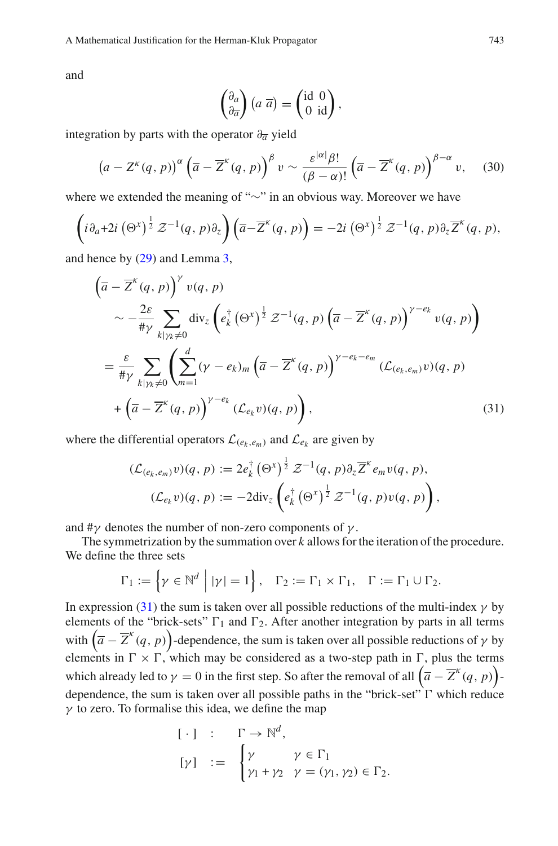and

Ierman-Kluk Propagator  

$$
\begin{pmatrix} \partial_a \\ \partial_{\overline{a}} \end{pmatrix} (a \overline{a}) = \begin{pmatrix} \mathrm{id} & 0 \\ 0 & \mathrm{id} \end{pmatrix},
$$

<span id="page-18-1"></span>integration by parts with the operator ∂*<sup>a</sup>* yield

$$
\begin{pmatrix} \partial_a \\ \partial_{\overline{a}} \end{pmatrix} (a \ \overline{a}) = \begin{pmatrix} \text{id} \ 0 \\ 0 \ \text{id} \end{pmatrix},
$$
  
ation by parts with the operator  $\partial_{\overline{a}}$  yield  

$$
(a - Z^{\kappa}(q, p))^{\alpha} \left( \overline{a} - \overline{Z}^{\kappa}(q, p) \right)^{\beta} v \sim \frac{\varepsilon^{|\alpha|} \beta!}{(\beta - \alpha)!} \left( \overline{a} - \overline{Z}^{\kappa}(q, p) \right)^{\beta - \alpha} v,
$$
 (30)  
we extended the meaning of " $\sim$ " in an obvious way. Moreover we have  
 $_{t+2i} (\Theta^{x})^{\frac{1}{2}} \mathcal{Z}^{-1}(q, p) \partial_{z} \left( \overline{a} - \overline{Z}^{\kappa}(q, p) \right) = -2i (\Theta^{x})^{\frac{1}{2}} \mathcal{Z}^{-1}(q, p) \partial_{z} \overline{Z}^{\kappa}(q, p),$ 

where we extended the meaning of "∼" in an obvious way. Moreover we have

$$
\left(i\partial_a + 2i\left(\Theta^x\right)^{\frac{1}{2}}\mathcal{Z}^{-1}(q,p)\partial_z\right)\left(\overline{a}-\overline{Z}^{\kappa}(q,p)\right) = -2i\left(\Theta^x\right)^{\frac{1}{2}}\mathcal{Z}^{-1}(q,p)\partial_z\overline{Z}^{\kappa}(q,p),
$$

<span id="page-18-0"></span>and hence by [\(29\)](#page-17-0) and Lemma [3,](#page-16-1)

$$
(\overline{a} - \overline{Z}^{k}(q, p))^{\gamma} v(q, p)
$$
\n
$$
\sim -\frac{2\varepsilon}{\#\gamma} \sum_{k \mid \gamma_{k} \neq 0} \operatorname{div}_{z} \left( e_{k}^{\dagger} (\Theta^{x})^{\frac{1}{2}} \mathcal{Z}^{-1}(q, p) \left( \overline{a} - \overline{Z}^{k}(q, p) \right)^{\gamma - e_{k}} v(q, p) \right)
$$
\n
$$
= \frac{\varepsilon}{\#\gamma} \sum_{k \mid \gamma_{k} \neq 0} \left( \sum_{m=1}^{d} (\gamma - e_{k})_{m} \left( \overline{a} - \overline{Z}^{k}(q, p) \right)^{\gamma - e_{k} - e_{m}} (\mathcal{L}_{(e_{k}, e_{m})} v)(q, p) \right)
$$
\n
$$
+ \left( \overline{a} - \overline{Z}^{k}(q, p) \right)^{\gamma - e_{k}} (\mathcal{L}_{e_{k}} v)(q, p) \right), \qquad (31)
$$
\n
$$
\text{the differential operators } \mathcal{L}_{(e_{k}, e_{m})} \text{ and } \mathcal{L}_{e_{k}} \text{ are given by}
$$
\n
$$
(\mathcal{L}_{(e_{k}, e_{m})} v)(q, p) := 2e_{k}^{\dagger} (\Theta^{x})^{\frac{1}{2}} \mathcal{Z}^{-1}(q, p) \partial_{z} \overline{Z}^{k} e_{m} v(q, p),
$$

where the differential operators  $\mathcal{L}_{(e_k, e_m)}$  and  $\mathcal{L}_{e_k}$  are given by

\n
$$
\mathcal{L}_{(e_k, e_m)}(q, p) := 2e_k^{\dagger} \left( \Theta^x \right)^{\frac{1}{2}} \mathcal{Z}^{-1}(q, p) \partial_z \overline{Z}^k e_m v(q, p),
$$
\n

\n\n $(\mathcal{L}_{(e_k, e_m)} v)(q, p) := 2e_k^{\dagger} \left( \Theta^x \right)^{\frac{1}{2}} \mathcal{Z}^{-1}(q, p) \partial_z \overline{Z}^k e_m v(q, p),$ \n

\n\n $(\mathcal{L}_{e_k} v)(q, p) := -2 \text{div}_z \left( e_k^{\dagger} \left( \Theta^x \right)^{\frac{1}{2}} \mathcal{Z}^{-1}(q, p) v(q, p) \right),$ \n

and  $\#\gamma$  denotes the number of non-zero components of  $\gamma$ .

The symmetrization by the summation over *k* allows for the iteration of the procedure. We define the three sets ( $\mathcal{L}_{e_k} v$ )( $q$ ,  $p$ )<br>notes the number<br>nmetrization by the<br>the three sets<br> $\Gamma_1 := \{ \gamma \in \mathbb{N}^d \mid$ 

$$
\Gamma_1 := \left\{ \gamma \in \mathbb{N}^d \mid |\gamma| = 1 \right\}, \quad \Gamma_2 := \Gamma_1 \times \Gamma_1, \quad \Gamma := \Gamma_1 \cup \Gamma_2.
$$

In expression [\(31\)](#page-18-0) the sum is taken over all possible reductions of the multi-index  $\gamma$  by elements of the "brick-sets"  $\Gamma_1$  and  $\Gamma_2$ . After another integration by parts in all terms *F*<sub>1</sub> :=  $\left\{\gamma \in \mathbb{N}^d \mid |\gamma| = 1\right\}$ , *F*<sub>2</sub> := *F*<sub>1</sub> × *F*<sub>1</sub>, *F* := *F*<sub>1</sub> ∪ *F*<sub>2</sub>.<br>In expression (31) the sum is taken over all possible reductions of the multi-index  $\gamma$  by elements of the "brick-sets" *F*<sub>1</sub> a elements in  $\Gamma \times \Gamma$ , which may be considered as a two-step path in  $\Gamma$ , plus the terms In expression (31) the sum is taken over all possible reductions of the n<br>elements of the "brick-sets"  $\Gamma_1$  and  $\Gamma_2$ . After another integration by p<br>with  $(\overline{a} - \overline{Z}^k(q, p))$ -dependence, the sum is taken over all pos  $\overline{a} - \overline{Z}^{\kappa}(q, p)$ dependence, the sum is taken over all possible paths in the "brick-set"  $\Gamma$  which reduce  $\gamma$  to zero. To formalise this idea, we define the map = 0 in the fir<br>s taken over a<br>this idea, we<br> $[\cdot]$  :  $\Gamma$ <br> $[\gamma]$  :=  $\begin{cases} \end{cases}$ 

$$
\begin{aligned}\n[\cdot] & \quad : \quad \Gamma \to \mathbb{N}^d, \\
[\gamma] & \quad := \quad \begin{cases}\n\gamma & \gamma \in \Gamma_1 \\
\gamma_1 + \gamma_2 & \gamma = (\gamma_1, \gamma_2) \in \Gamma_2.\n\end{cases}\n\end{aligned}
$$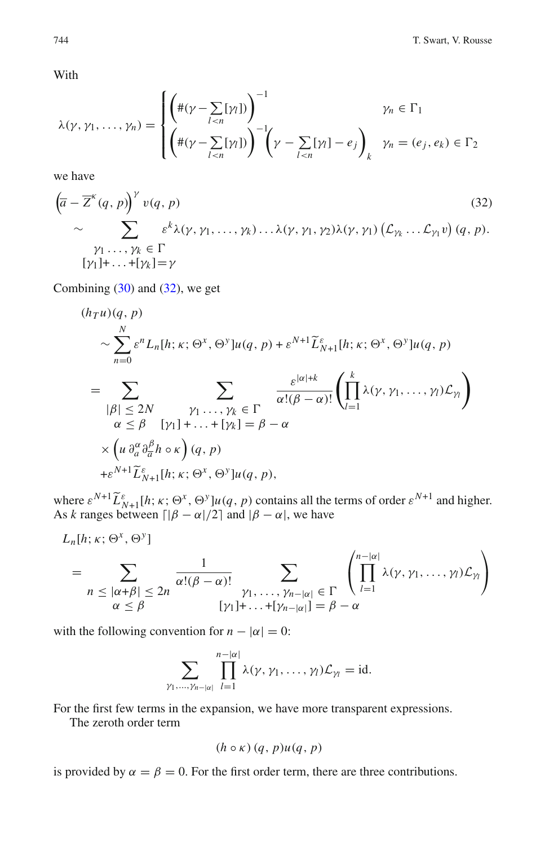With

7. Swart, V. Roust  
\nWith  
\n
$$
\lambda(\gamma, \gamma_1, ..., \gamma_n) = \begin{cases}\n\left( \#(\gamma - \sum_{l < n} [\gamma_l]) \right)^{-1} & \gamma_n \in \Gamma_1 \\
\left( \#(\gamma - \sum_{l < n} [\gamma_l]) \right)^{-1} \left( \gamma - \sum_{l < n} [\gamma_l] - e_j \right)_k & \gamma_n = (e_j, e_k) \in \Gamma_2\n\end{cases}
$$

<span id="page-19-0"></span>we have

we have  
\n
$$
(\overline{z} - \overline{z}^k(q, p))' v(q, p)
$$
\n
$$
\sim \sum_{\substack{\gamma_1, \ldots, \gamma_k \in \Gamma \\ \gamma_1 + \ldots + \gamma_k = \gamma}} \varepsilon^k \lambda(\gamma, \gamma_1, \ldots, \gamma_k) \ldots \lambda(\gamma, \gamma_1, \gamma_2) \lambda(\gamma, \gamma_1) (\mathcal{L}_{\gamma_k} \ldots \mathcal{L}_{\gamma_1} v) (q, p).
$$
\n(32)

Combining  $(30)$  and  $(32)$ , we get

$$
[y_{1}] + ... + [y_{k}] = y
$$
  
Combining (30) and (32), we get  

$$
(h_{T}u)(q, p)
$$

$$
\sim \sum_{n=0}^{N} \varepsilon^{n} L_{n}[h; \kappa; \Theta^{x}, \Theta^{y}] u(q, p) + \varepsilon^{N+1} \widetilde{L}_{N+1}^{\varepsilon}[h; \kappa; \Theta^{x}, \Theta^{y}] u(q, p)
$$

$$
= \sum_{|\beta| \leq 2N} \sum_{\substack{\gamma_{1}, \ldots, \gamma_{k} \in \Gamma \\ \alpha \leq \beta \quad [\gamma_{1}] + \ldots + [\gamma_{k}] = \beta - \alpha}} \frac{\varepsilon^{|\alpha|+k}}{\alpha!(\beta - \alpha)!} \left( \prod_{l=1}^{k} \lambda(\gamma, \gamma_{1}, \ldots, \gamma_{l}) \mathcal{L}_{\gamma_{l}} \right)
$$

$$
\times \left( u \frac{\partial^{\alpha}}{\partial a} \frac{\partial^{\beta}}{\partial n} h \circ \kappa \right) (q, p)
$$

$$
+ \varepsilon^{N+1} \widetilde{L}_{N+1}^{\varepsilon}[h; \kappa; \Theta^{x}, \Theta^{y}] u(q, p),
$$
  
where  $\varepsilon^{N+1} \widetilde{L}_{N+1}^{\varepsilon}[h; \kappa; \Theta^{x}, \Theta^{y}] u(q, p)$  contains all the terms of order  $\varepsilon^{N+1}$  and higher.

As *k* ranges between  $\left[ |\beta - \alpha|/2 \right]$  and  $|\beta - \alpha|$ , we have ms of er.

here 
$$
\varepsilon^{N+1} \widetilde{L}_{N+1}^{\varepsilon}[h; \kappa; \Theta^x, \Theta^y] u(q, p)
$$
 contains all the terms of order  $\varepsilon^{N+1}$  and higher  
\n*k* ranges between  $\lceil |\beta - \alpha|/2 \rceil$  and  $|\beta - \alpha|$ , we have  
\n $L_n[h; \kappa; \Theta^x, \Theta^y]$   
\n
$$
= \sum_{n \leq |\alpha + \beta| \leq 2n} \frac{1}{\alpha!(\beta - \alpha)!} \sum_{\substack{\gamma_1, \ldots, \gamma_{n-|\alpha|} \in \Gamma \\ |\gamma_1| + \ldots + |\gamma_{n-|\alpha|} | = \beta - \alpha}} \left( \prod_{l=1}^{n-|\alpha|} \lambda(\gamma, \gamma_1, \ldots, \gamma_l) \mathcal{L}_{\gamma_l} \right)
$$

with the following convention for  $n - |\alpha| = 0$ :

$$
\sum_{\gamma_1,\ldots,\gamma_{n-|\alpha|}}\prod_{l=1}^{n-|\alpha|}\lambda(\gamma,\gamma_1,\ldots,\gamma_l)\mathcal{L}_{\gamma_l}=\mathrm{id}.
$$

For the first few terms in the expansion, we have more transparent expressions.

The zeroth order term

 $L_n[h; \kappa; \Theta^x, \Theta^y]$ 

$$
(h \circ \kappa) (q, p) u(q, p)
$$

is provided by  $\alpha = \beta = 0$ . For the first order term, there are three contributions.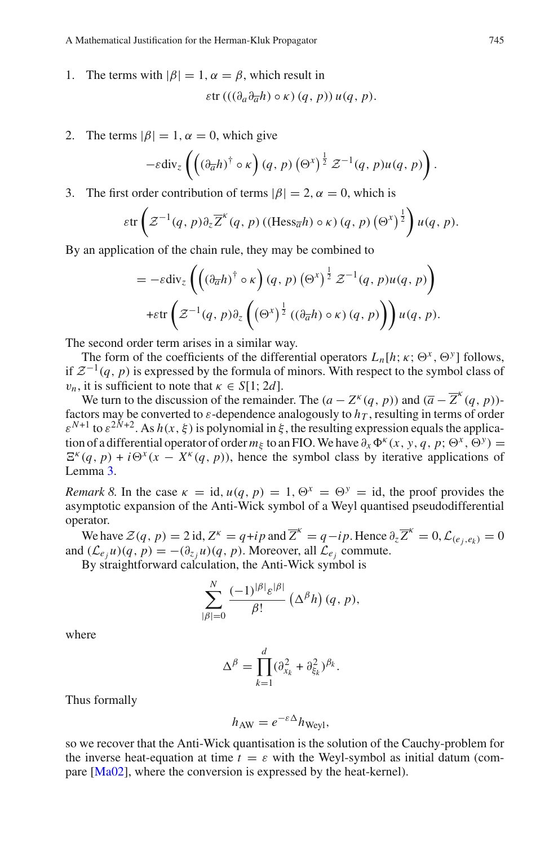1. The terms with  $|\beta| = 1$ ,  $\alpha = \beta$ , which result in

$$
\varepsilon \text{tr} \left( \left( \left( \partial_a \partial_{\overline{a}} h \right) \circ \kappa \right) (q, p) \right) u(q, p).
$$

2. The terms  $|\beta| = 1$ ,  $\alpha = 0$ , which give

$$
\varepsilon \text{tr} \left( ((\partial_a \partial_{\overline{a}} h) \circ \kappa) (q, p) \right) u(q, p).
$$
  
\n
$$
\text{ms } |\beta| = 1, \alpha = 0, \text{ which give}
$$
  
\n
$$
-\varepsilon \text{div}_z \left( \left( (\partial_{\overline{a}} h)^{\dagger} \circ \kappa \right) (q, p) \left( \Theta^x \right)^{\frac{1}{2}} \mathcal{Z}^{-1} (q, p) u(q, p) \right).
$$
  
\n
$$
\text{st order contribution of terms } |\beta| = 2, \alpha = 0, \text{ which is}
$$
  
\n
$$
\varepsilon \text{tr} \left( \mathcal{Z}^{-1} (q, p) \partial_z \overline{Z}^{\kappa} (q, p) \left( (\text{Hess}_{\overline{a}} h) \circ \kappa \right) (q, p) \left( \Theta^x \right)^{\frac{1}{2}} \right) u(q)
$$

3. The first order contribution of terms  $|\beta| = 2$ ,  $\alpha = 0$ , which is ndunon of term

$$
\varepsilon \text{tr}\left(\mathcal{Z}^{-1}(q, p)\partial_z \overline{\mathcal{Z}}^{\kappa}(q, p) \left((\text{Hess}_{\overline{a}}h) \circ \kappa\right)(q, p) \left(\Theta^x\right)^{\frac{1}{2}}\right) u(q, p).
$$
  
ication of the chain rule, they may be combined to  

$$
= -\varepsilon \text{div}_z \left(\left((\partial_{\overline{a}}h)^{\dagger} \circ \kappa\right)(q, p) \left(\Theta^x\right)^{\frac{1}{2}} \mathcal{Z}^{-1}(q, p) u(q, p)\right)
$$

By an application of the chain rule, they may be combined to

= −εdiv*<sup>z</sup>* (∂*ah*) † ◦ κ (*q*, *p*) 1 <sup>2</sup> *<sup>Z</sup>*−1(*q*, *<sup>p</sup>*)*u*(*q*, *<sup>p</sup>*) +εtr *x <sup>Z</sup>*−1(*q*, *<sup>p</sup>*)∂*<sup>z</sup>* 1 <sup>2</sup> ((∂*ah*) ◦ κ)(*q*, *p*) *u*(*q*, *p*).

The second order term arises in a similar way.

The form of the coefficients of the differential operators  $L_n[h; \kappa; \Theta^x, \Theta^y]$  follows, if  $\mathcal{Z}^{-1}(q, p)$  is expressed by the formula of minors. With respect to the symbol class of  $v_n$ , it is sufficient to note that  $\kappa \in S[1; 2d]$ .

We turn to the discussion of the remainder. The  $(a - Z^k(q, p))$  and  $(\overline{a} - \overline{Z}^k(q, p))$ factors may be converted to  $\varepsilon$ -dependence analogously to  $h<sub>T</sub>$ , resulting in terms of order  $\varepsilon^{N+1}$  to  $\varepsilon^{2N+2}$ . As  $h(x,\xi)$  is polynomial in  $\xi$ , the resulting expression equals the application of a differential operator of order  $m_{\xi}$  to an FIO. We have  $\partial_x \Phi^k(x, y, q, p; \Theta^x, \Theta^y)$  =  $E^{k}(q, p) + i\Theta^{x}(x - X^{k}(q, p))$ , hence the symbol class by iterative applications of Lemma [3.](#page-16-1)

*Remark 8.* In the case  $\kappa = id$ ,  $u(q, p) = 1$ ,  $\Theta^x = \Theta^y = id$ , the proof provides the asymptotic expansion of the Anti-Wick symbol of a Weyl quantised pseudodifferential operator.

We have  $\mathcal{Z}(q, p) = 2$  id,  $Z^k = q + ip$  and  $\overline{Z}^k = q - ip$ . Hence  $\partial_z \overline{Z}^k = 0$ ,  $\mathcal{L}_{(e_j, e_k)} = 0$ and  $(L_{e_i}u)(q, p) = -(\partial_{z_i}u)(q, p)$ . Moreover, all  $\mathcal{L}_{e_i}$  commute.

By straightforward calculation, the Anti-Wick symbol is

$$
\sum_{|\beta|=0}^{N} \frac{(-1)^{|\beta|} \varepsilon^{|\beta|}}{\beta!} (\Delta^{\beta} h) (q, p),
$$
  

$$
\Delta^{\beta} = \prod_{k=0}^{d} (\partial_{x_k}^2 + \partial_{\xi_k}^2)^{\beta_k}.
$$

where

$$
\Delta^{\beta} = \prod_{k=1}^{d} (\partial_{x_k}^2 + \partial_{\xi_k}^2)^{\beta_k}.
$$

Thus formally

$$
h_{\rm AW} = e^{-\varepsilon \Delta} h_{\rm Weyl},
$$

so we recover that the Anti-Wick quantisation is the solution of the Cauchy-problem for the inverse heat-equation at time  $t = \varepsilon$  with the Weyl-symbol as initial datum (compare [\[Ma02\]](#page-25-6), where the conversion is expressed by the heat-kernel).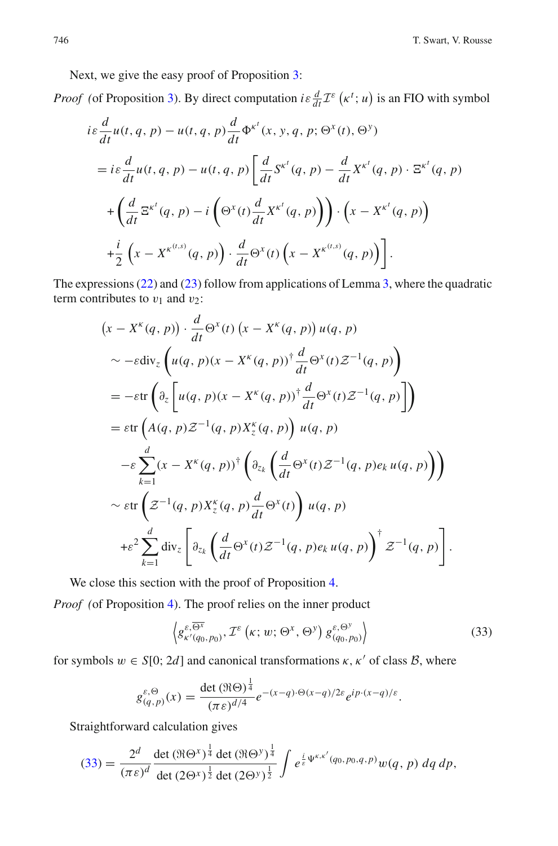Next, we give the easy proof of Proposition [3:](#page-11-0)

*Proof* (of Proposition [3\)](#page-11-0). By direct computation *i*ε  $\frac{d}{dt} \mathcal{I}^{\varepsilon}$  ( $\kappa^{t}$ ; *u*) is an FIO with symbol

$$
i\varepsilon \frac{d}{dt}u(t, q, p) - u(t, q, p)\frac{d}{dt}\Phi^{\kappa^{t}}(x, y, q, p; \Theta^{x}(t), \Theta^{y})
$$
  
=  $i\varepsilon \frac{d}{dt}u(t, q, p) - u(t, q, p)\left[\frac{d}{dt}S^{\kappa^{t}}(q, p) - \frac{d}{dt}X^{\kappa^{t}}(q, p) \cdot \Xi^{\kappa^{t}}(q, p)\right]$   
+  $\left(\frac{d}{dt}\Xi^{\kappa^{t}}(q, p) - i\left(\Theta^{x}(t)\frac{d}{dt}X^{\kappa^{t}}(q, p)\right)\right) \cdot \left(x - X^{\kappa^{t}}(q, p)\right)$   
+  $\frac{i}{2}\left(x - X^{\kappa^{(t,s)}}(q, p)\right) \cdot \frac{d}{dt}\Theta^{x}(t)\left(x - X^{\kappa^{(t,s)}}(q, p)\right).$ 

The expressions [\(22\)](#page-11-1) and [\(23\)](#page-11-1) follow from applications of Lemma [3,](#page-16-1) where the quadratic term contributes to  $v_1$  and  $v_2$ :

$$
(x - X^{\kappa}(q, p)) \cdot \frac{d}{dt} \Theta^{x}(t) (x - X^{\kappa}(q, p)) u(q, p)
$$
  
\n
$$
\sim -\varepsilon \text{div}_{z} \left( u(q, p)(x - X^{\kappa}(q, p))^{+} \frac{d}{dt} \Theta^{x}(t) \mathcal{Z}^{-1}(q, p) \right)
$$
  
\n
$$
= -\varepsilon \text{tr} \left( \partial_{z} \left[ u(q, p)(x - X^{\kappa}(q, p))^{+} \frac{d}{dt} \Theta^{x}(t) \mathcal{Z}^{-1}(q, p) \right] \right)
$$
  
\n
$$
= \varepsilon \text{tr} \left( A(q, p) \mathcal{Z}^{-1}(q, p) X_{z}^{\kappa}(q, p) \right) u(q, p)
$$
  
\n
$$
- \varepsilon \sum_{k=1}^{d} (x - X^{\kappa}(q, p))^{+} \left( \partial_{z_{k}} \left( \frac{d}{dt} \Theta^{x}(t) \mathcal{Z}^{-1}(q, p) e_{k} u(q, p) \right) \right)
$$
  
\n
$$
\sim \varepsilon \text{tr} \left( \mathcal{Z}^{-1}(q, p) X_{z}^{\kappa}(q, p) \frac{d}{dt} \Theta^{x}(t) \right) u(q, p)
$$
  
\n
$$
+ \varepsilon^{2} \sum_{k=1}^{d} \text{div}_{z} \left[ \partial_{z_{k}} \left( \frac{d}{dt} \Theta^{x}(t) \mathcal{Z}^{-1}(q, p) e_{k} u(q, p) \right)^{+} \mathcal{Z}^{-1}(q, p) \right].
$$

We close this section with the proof of Proposition [4.](#page-12-1)

<span id="page-21-0"></span>*Proof (*of Proposition [4\)](#page-12-1). The proof relies on the inner product

n with the proof of Proposition 4.  
\n1). The proof relies on the inner product  
\n
$$
\left\langle g_{\kappa'(q_0, p_0)}^{\varepsilon, \overline{\Theta^x}}, \mathcal{I}^{\varepsilon}(\kappa; w; \Theta^x, \Theta^y) g_{(q_0, p_0)}^{\varepsilon, \Theta^y} \right\rangle
$$
\n(33)

for symbols  $w \in S[0; 2d]$  and canonical transformations  $\kappa, \kappa'$  of class  $\beta$ , where

$$
g_{(q,p)}^{\varepsilon,\Theta}(x) = \frac{\det(\Re\Theta)^{\frac{1}{4}}}{(\pi \varepsilon)^{d/4}} e^{-(x-q)\cdot\Theta(x-q)/2\varepsilon} e^{ip\cdot(x-q)/\varepsilon}.
$$

Straightforward calculation gives

$$
(33) = \frac{2^d}{(\pi \varepsilon)^d} \frac{\det (\Re \Theta^x)^{\frac{1}{4}} \det (\Re \Theta^y)^{\frac{1}{4}}}{\det (2\Theta^x)^{\frac{1}{2}} \det (2\Theta^y)^{\frac{1}{2}}} \int e^{\frac{i}{\varepsilon} \Psi^{\kappa,\kappa'}(q_0,p_0,q,p)} w(q,p) \,dq \,dp,
$$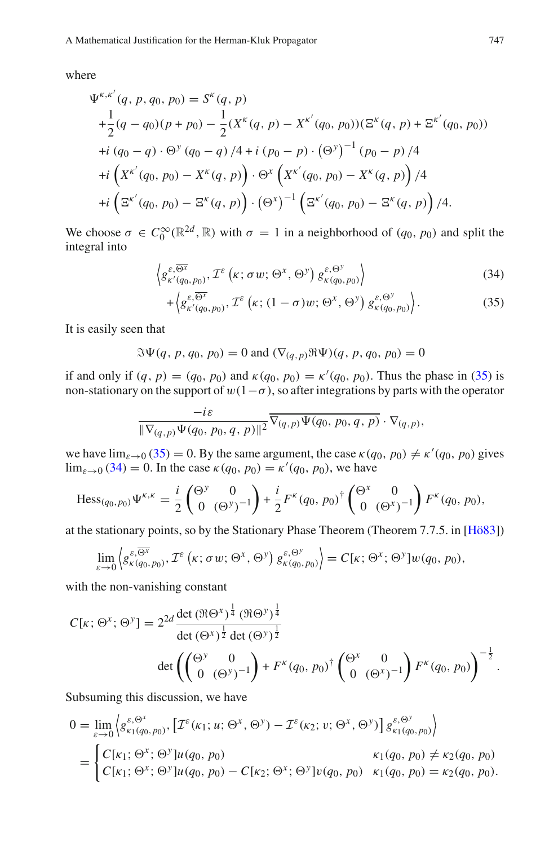where

re  
\n
$$
\Psi^{\kappa,\kappa'}(q, p, q_0, p_0) = S^{\kappa}(q, p)
$$
\n
$$
+ \frac{1}{2}(q - q_0)(p + p_0) - \frac{1}{2}(X^{\kappa}(q, p) - X^{\kappa'}(q_0, p_0))(\Xi^{\kappa}(q, p) + \Xi^{\kappa'}(q_0, p_0))
$$
\n
$$
+ i (q_0 - q) \cdot \Theta^y (q_0 - q) / 4 + i (p_0 - p) \cdot (\Theta^y)^{-1} (p_0 - p) / 4
$$
\n
$$
+ i \left( X^{\kappa'}(q_0, p_0) - X^{\kappa}(q, p) \right) \cdot \Theta^x \left( X^{\kappa'}(q_0, p_0) - X^{\kappa}(q, p) \right) / 4
$$
\n
$$
+ i \left( \Xi^{\kappa'}(q_0, p_0) - \Xi^{\kappa}(q, p) \right) \cdot (\Theta^x)^{-1} \left( \Xi^{\kappa'}(q_0, p_0) - \Xi^{\kappa}(q, p) \right) / 4.
$$

We choose  $\sigma \in C_0^{\infty}(\mathbb{R}^{2d}, \mathbb{R})$  with  $\sigma = 1$  in a neighborhood of  $(q_0, p_0)$  and split the integral into  $\left(\mathcal{L}(q, p)\right) \cdot \left(\Theta^x\right)^{-1} \left(\Xi\right)$ <br> *k*) with  $\sigma = 1$  in a not<br>  $\mathcal{L}^{\varepsilon}(\kappa; \sigma w; \Theta^x, \Theta^y)$ 

$$
\int_{0}^{\infty} (\mathbb{R}^{2d}, \mathbb{R}) \text{ with } \sigma = 1 \text{ in a neighborhood of } (q_0, p_0) \text{ and split the}
$$
\n
$$
\left\langle g_{\kappa'(q_0, p_0)}^{\varepsilon, \overline{\Theta^x}}, \mathcal{I}^{\varepsilon} \left( \kappa; \sigma w; \Theta^x, \Theta^y \right) g_{\kappa(q_0, p_0)}^{\varepsilon, \Theta^y} \right\rangle
$$
\n
$$
+ \left\langle g_{\kappa'(q_0, p_0)}^{\varepsilon, \overline{\Theta^x}}, \mathcal{I}^{\varepsilon} \left( \kappa; (1 - \sigma) w; \Theta^x, \Theta^y \right) g_{\kappa(q_0, p_0)}^{\varepsilon, \Theta^y} \right\rangle. \tag{35}
$$

$$
+\left\langle g_{\kappa'(q_0,p_0)}^{\varepsilon,\overline{\Theta^x}},\mathcal{I}^{\varepsilon}\left(\kappa;(1-\sigma)w;\Theta^x,\Theta^y\right)g_{\kappa(q_0,p_0)}^{\varepsilon,\Theta^y}\right\rangle. \tag{35}
$$

<span id="page-22-0"></span>It is easily seen that

$$
\Im \Psi(q, p, q_0, p_0) = 0 \text{ and } (\nabla_{(q, p)} \Re \Psi)(q, p, q_0, p_0) = 0
$$

if and only if  $(q, p) = (q_0, p_0)$  and  $\kappa(q_0, p_0) = \kappa'(q_0, p_0)$ . Thus the phase in [\(35\)](#page-22-0) is non-stationary on the support of  $w(1-\sigma)$ , so after integrations by parts with the operator

$$
\frac{-i\varepsilon}{\|\nabla_{(q,p)}\Psi(q_0,p_0,q,p)\|^2}\overline{\nabla_{(q,p)}\Psi(q_0,p_0,q,p)}\cdot\nabla_{(q,p)},
$$

we have  $\lim_{\varepsilon \to 0} (35) = 0$  $\lim_{\varepsilon \to 0} (35) = 0$  $\lim_{\varepsilon \to 0} (35) = 0$ . By the same argument, the case  $\kappa(q_0, p_0) \neq \kappa'(q_0, p_0)$  gives  $\lim_{\varepsilon \to 0} (34) = 0$  $\lim_{\varepsilon \to 0} (34) = 0$  $\lim_{\varepsilon \to 0} (34) = 0$ . In the case  $\kappa(q_0, p_0) = \kappa'(q_0, p_0)$ , we have

Hess<sub>(q0, p0)</sub> 
$$
\Psi^{\kappa,\kappa} = \frac{i}{2} \begin{pmatrix} \Theta^y & 0 \\ 0 & (\Theta^y)^{-1} \end{pmatrix} + \frac{i}{2} F^{\kappa}(q_0, p_0)^{\dagger} \begin{pmatrix} \Theta^x & 0 \\ 0 & (\Theta^x)^{-1} \end{pmatrix} F^{\kappa}(q_0, p_0),
$$
  
the stationary points, so by the Stationary Phase Theorem (Theorem 7.7.5. in [Hö8  

$$
\lim_{\varepsilon \to 0} \left\langle g^{\varepsilon, \overline{\Theta^x}}_{\kappa(q_0, p_0)}, \mathcal{I}^{\varepsilon}(\kappa; \sigma w; \Theta^x, \Theta^y) g^{\varepsilon, \Theta^y}_{\kappa(q_0, p_0)} \right\rangle = C[\kappa; \Theta^x; \Theta^y] w(q_0, p_0),
$$

at the stationary points, so by the Stationary Phase Theorem (Theorem 7.7.5. in [\[Hö83\]](#page-25-12))

$$
\lim_{\varepsilon \to 0} \left\langle g_{\kappa(q_0, p_0)}^{\varepsilon, \overline{\Theta^x}}, \mathcal{I}^{\varepsilon} \left( \kappa; \sigma w; \Theta^x, \Theta^y \right) g_{\kappa(q_0, p_0)}^{\varepsilon, \Theta^y} \right\rangle = C[\kappa; \Theta^x; \Theta^y] w(q_0, p_0),
$$

with the non-vanishing constant  
\n
$$
C[\kappa; \Theta^x; \Theta^y] = 2^{2d} \frac{\det (\Re \Theta^x)^{\frac{1}{4}} (\Re \Theta^y)^{\frac{1}{4}}}{\det (\Theta^x)^{\frac{1}{2}} \det (\Theta^y)^{\frac{1}{2}}}
$$
\n
$$
\det \left( \begin{pmatrix} \Theta^y & 0 \\ 0 & (\Theta^y)^{-1} \end{pmatrix} + F^{\kappa}(q_0, p_0)^{\dagger} \begin{pmatrix} \Theta^x & 0 \\ 0 & (\Theta^x)^{-1} \end{pmatrix} F^{\kappa}(q_0, p_0) \right)^{-\frac{1}{2}}.
$$

Subsuming this discussion, we have

$$
0 = \lim_{\varepsilon \to 0} \left\{ g_{\kappa_1(q_0, p_0)}^{\varepsilon, \Theta^x}, \left[ \mathcal{I}^{\varepsilon}(\kappa_1; u; \Theta^x, \Theta^y) - \mathcal{I}^{\varepsilon}(\kappa_2; v; \Theta^x, \Theta^y) \right] g_{\kappa_1(q_0, p_0)}^{\varepsilon, \Theta^y} \right\}
$$
  
= 
$$
\begin{cases} C[\kappa_1; \Theta^x; \Theta^y] u(q_0, p_0) & \kappa_1(q_0, p_0) \neq \kappa_2(q_0, p_0) \\ C[\kappa_1; \Theta^x; \Theta^y] u(q_0, p_0) - C[\kappa_2; \Theta^x; \Theta^y] v(q_0, p_0) & \kappa_1(q_0, p_0) = \kappa_2(q_0, p_0). \end{cases}
$$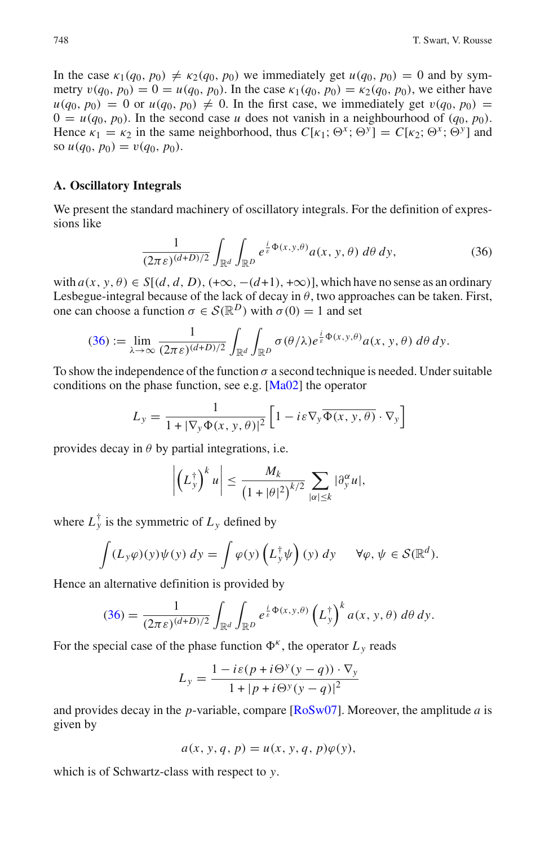In the case  $\kappa_1(q_0, p_0) \neq \kappa_2(q_0, p_0)$  we immediately get  $u(q_0, p_0) = 0$  and by symmetry  $v(q_0, p_0) = 0 = u(q_0, p_0)$ . In the case  $\kappa_1(q_0, p_0) = \kappa_2(q_0, p_0)$ , we either have  $u(q_0, p_0) = 0$  or  $u(q_0, p_0) \neq 0$ . In the first case, we immediately get  $v(q_0, p_0) =$  $0 = u(q_0, p_0)$ . In the second case *u* does not vanish in a neighbourhood of  $(q_0, p_0)$ . Hence  $\kappa_1 = \kappa_2$  in the same neighborhood, thus  $C[\kappa_1; \Theta^x; \Theta^y] = C[\kappa_2; \Theta^x; \Theta^y]$  and so  $u(q_0, p_0) = v(q_0, p_0)$ .

### <span id="page-23-0"></span>**A. Oscillatory Integrals**

We present the standard machinery of oscillatory integrals. For the definition of expressions like

$$
\frac{1}{(2\pi\varepsilon)^{(d+D)/2}} \int_{\mathbb{R}^d} \int_{\mathbb{R}^D} e^{\frac{i}{\varepsilon}\Phi(x,y,\theta)} a(x,y,\theta) \, d\theta \, dy,\tag{36}
$$

<span id="page-23-1"></span>with  $a(x, y, \theta) \in S[(d, d, D), (+\infty, -(d+1), +\infty)]$ , which have no sense as an ordinary Lesbegue-integral because of the lack of decay in  $\theta$ , two approaches can be taken. First, one can choose a function  $\sigma \in \mathcal{S}(\mathbb{R}^D)$  with  $\sigma(0) = 1$  and set

$$
(36) := \lim_{\lambda \to \infty} \frac{1}{(2\pi\varepsilon)^{(d+D)/2}} \int_{\mathbb{R}^d} \int_{\mathbb{R}^D} \sigma(\theta/\lambda) e^{\frac{i}{\varepsilon}\Phi(x,y,\theta)} a(x,y,\theta) \, d\theta \, dy.
$$

To show the independence of the function  $\sigma$  a second technique is needed. Under suitable conditions on the phase function, see e.g.  $[Ma02]$  $[Ma02]$  the operator

$$
L_{y} = \frac{1}{1 + |\nabla_{y} \Phi(x, y, \theta)|^{2}} \left[ 1 - i \varepsilon \nabla_{y} \overline{\Phi(x, y, \theta)} \cdot \nabla_{y} \right]
$$

provides decay in  $\theta$  by partial integrations, i.e.

$$
\left|\left(L_{y}^{\dagger}\right)^{k} u\right| \leq \frac{M_{k}}{\left(1+|\theta|^{2}\right)^{k/2}} \sum_{|\alpha| \leq k} |\partial_{y}^{\alpha} u|,
$$

where  $L_y^{\dagger}$  is the symmetric of  $L_y$  defined by  $\overline{\phantom{a}}$ 

$$
\int (L_y \varphi)(y) \psi(y) dy = \int \varphi(y) \left( L_y^{\dagger} \psi \right)(y) dy \quad \forall \varphi, \psi \in \mathcal{S}(\mathbb{R}^d).
$$
  
alternative definition is provided by  

$$
(36) = \frac{1}{(L_y \cos \theta)} \int \int e^{\frac{i}{\xi} \Phi(x, y, \theta)} \left( L_y^{\dagger} \right)^k a(x, y, \theta) d\theta dy.
$$

Hence an alternative definition is provided by

$$
(36) = \frac{1}{(2\pi\epsilon)^{(d+D)/2}} \int_{\mathbb{R}^d} \int_{\mathbb{R}^D} e^{\frac{i}{\epsilon}\Phi(x,y,\theta)} \left(L_y^{\dagger}\right)^k a(x,y,\theta) \,d\theta \,dy.
$$

For the special case of the phase function  $\Phi^k$ , the operator  $L_y$  reads

$$
L_{y} = \frac{1 - i\varepsilon (p + i\Theta^{y}(y - q)) \cdot \nabla_{y}}{1 + |p + i\Theta^{y}(y - q)|^{2}}
$$

and provides decay in the *p*-variable, compare [\[RoSw07\]](#page-25-0). Moreover, the amplitude *a* is given by

$$
a(x, y, q, p) = u(x, y, q, p)\varphi(y),
$$

which is of Schwartz-class with respect to *y*.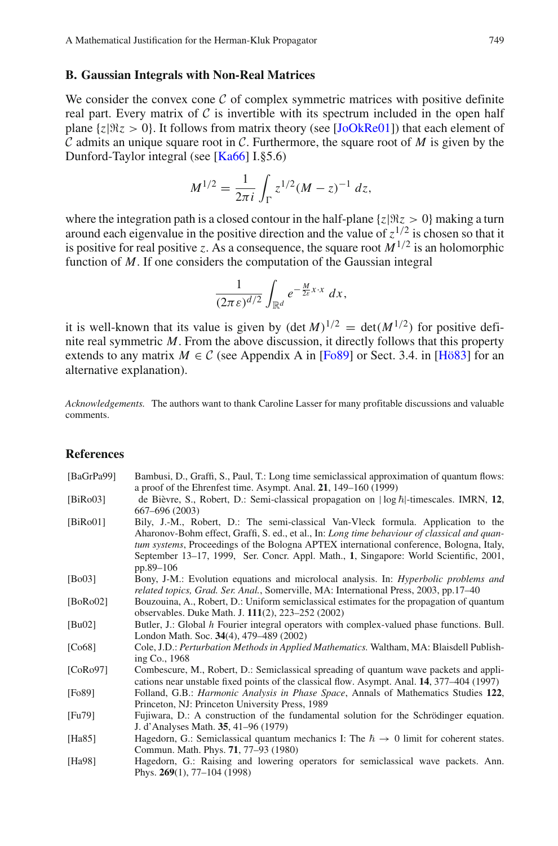### <span id="page-24-11"></span>**B. Gaussian Integrals with Non-Real Matrices**

We consider the convex cone *C* of complex symmetric matrices with positive definite real part. Every matrix of  $C$  is invertible with its spectrum included in the open half plane  $\{z|\Re z > 0\}$ . It follows from matrix theory (see [\[JoOkRe01\]](#page-25-13)) that each element of *C* admits an unique square root in *C*. Furthermore, the square root of *M* is given by the Dunford-Taylor integral (see [\[Ka66](#page-25-14)] I.§5.6)

$$
M^{1/2} = \frac{1}{2\pi i} \int_{\Gamma} z^{1/2} (M - z)^{-1} dz,
$$

where the integration path is a closed contour in the half-plane  $\{z | \Re z > 0\}$  making a turn around each eigenvalue in the positive direction and the value of  $z^{1/2}$  is chosen so that it is positive for real positive *z*. As a consequence, the square root  $M^{1/2}$  is an holomorphic function of *M*. If one considers the computation of the Gaussian integral

$$
\frac{1}{(2\pi\epsilon)^{d/2}}\int_{\mathbb{R}^d}e^{-\frac{M}{2\epsilon}x\cdot x}\,dx,
$$

it is well-known that its value is given by  $(\det M)^{1/2} = \det(M^{1/2})$  for positive definite real symmetric *M*. From the above discussion, it directly follows that this property extends to any matrix  $M \in \mathcal{C}$  (see Appendix A in [\[Fo89](#page-24-12)] or Sect. 3.4. in [\[Hö83\]](#page-25-12) for an alternative explanation).

*Acknowledgements.* The authors want to thank Caroline Lasser for many profitable discussions and valuable comments.

### **References**

<span id="page-24-12"></span><span id="page-24-10"></span><span id="page-24-9"></span><span id="page-24-8"></span><span id="page-24-7"></span><span id="page-24-6"></span><span id="page-24-5"></span><span id="page-24-4"></span><span id="page-24-3"></span><span id="page-24-2"></span><span id="page-24-1"></span><span id="page-24-0"></span>

| [BaGrPa99]   | Bambusi, D., Graffi, S., Paul, T.: Long time semiclassical approximation of quantum flows:<br>a proof of the Ehrenfest time. Asympt. Anal. $21$ , $149-160$ (1999)                                                                                                                                                                                                                         |
|--------------|--------------------------------------------------------------------------------------------------------------------------------------------------------------------------------------------------------------------------------------------------------------------------------------------------------------------------------------------------------------------------------------------|
| [BiRo03]     | de Bièvre, S., Robert, D.: Semi-classical propagation on $ \log \hbar $ -timescales. IMRN, 12.<br>667–696 (2003)                                                                                                                                                                                                                                                                           |
| [ $BiRo01$ ] | Bily, J.-M., Robert, D.: The semi-classical Van-Vleck formula. Application to the<br>Aharonov-Bohm effect, Graffi, S. ed., et al., In: Long time behaviour of classical and quan-<br><i>tum systems</i> , Proceedings of the Bologna APTEX international conference, Bologna, Italy,<br>September 13–17, 1999, Ser. Concr. Appl. Math., 1, Singapore: World Scientific, 2001.<br>pp.89-106 |
| [Bo03]       | Bony, J-M.: Evolution equations and microlocal analysis. In: <i>Hyperbolic problems and</i><br>related topics, Grad. Ser. Anal., Somerville, MA: International Press, 2003, pp.17–40                                                                                                                                                                                                       |
| [ $BoRoO2$ ] | Bouzouina, A., Robert, D.: Uniform semiclassical estimates for the propagation of quantum<br>observables. Duke Math. J. 111(2), 223-252 (2002)                                                                                                                                                                                                                                             |
| [Bu02]       | Butler, J.: Global h Fourier integral operators with complex-valued phase functions. Bull.<br>London Math. Soc. 34(4), 479–489 (2002)                                                                                                                                                                                                                                                      |
| [Co68]       | Cole, J.D.: Perturbation Methods in Applied Mathematics. Waltham, MA: Blaisdell Publish-<br>ing Co., 1968                                                                                                                                                                                                                                                                                  |
| [CoRo97]     | Combescure, M., Robert, D.: Semiclassical spreading of quantum wave packets and appli-<br>cations near unstable fixed points of the classical flow. Asympt. Anal. 14, 377–404 (1997)                                                                                                                                                                                                       |
| [Fo89]       | Folland, G.B.: <i>Harmonic Analysis in Phase Space</i> , Annals of Mathematics Studies 122.<br>Princeton, NJ: Princeton University Press, 1989                                                                                                                                                                                                                                             |
| [Fu79]       | Fujiwara, D.: A construction of the fundamental solution for the Schrödinger equation.<br>J. d'Analyses Math. 35, 41–96 (1979)                                                                                                                                                                                                                                                             |
| [Ha $85$ ]   | Hagedorn, G.: Semiclassical quantum mechanics I: The $\hbar \rightarrow 0$ limit for coherent states.<br>Commun. Math. Phys. 71, 77-93 (1980)                                                                                                                                                                                                                                              |
| [ $Ha98$ ]   | Hagedorn, G.: Raising and lowering operators for semiclassical wave packets. Ann.<br>Phys. $269(1)$ , 77-104 (1998)                                                                                                                                                                                                                                                                        |